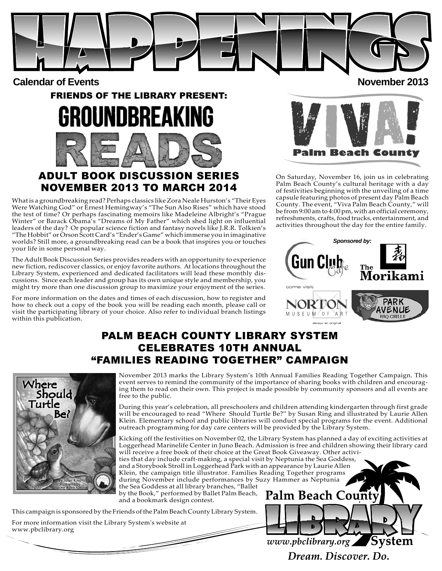

**Calendar of Events** 2013

# FRIENDS OF THE LIBRARY PRESENT: OUNDBREA

# ADULT BOOK DISCUSSION SERIES

NOVEMBER 2013 TO MARCH 2014

What is a groundbreaking read? Perhaps classics like Zora Neale Hurston's "Their Eyes Were Watching God" or Ernest Hemingway's "The Sun Also Rises" which have stood the test of time? Or perhaps fascinating memoirs like Madeleine Albright's "Prague Winter" or Barack Obama's "Dreams of My Father" which shed light on influential leaders of the day? Or popular science fiction and fantasy novels like J.R.R. Tolkien's "The Hobbit" or Orson Scott Card's "Ender's Game" which immerse you in imaginative worlds? Still more, a groundbreaking read can be a book that inspires you or touches your life in some personal way.

The Adult Book Discussion Series provides readers with an opportunity to experience new fiction, rediscover classics, or enjoy favorite authors. At locations throughout the Library System, experienced and dedicated facilitators will lead these monthly discussions. Since each leader and group has its own unique style and membership, you might try more than one discussion group to maximize your enjoyment of the series.

For more information on the dates and times of each discussion, how to register and how to check out a copy of the book you will be reading each month, please call or visit the participating library of your choice. Also refer to individual branch listings within this publication.

Beach Count

On Saturday, November 16, join us in celebrating Palm Beach County's cultural heritage with a day of festivities beginning with the unveiling of a time capsule featuring photos of present day Palm Beach County. The event, "Viva Palm Beach County," will be from 9:00 am to 4:00 pm, with an official ceremony, refreshments, crafts, food trucks, entertainment, and activities throughout the day for the entire family.



# PALM BEACH COUNTY LIBRARY SYSTEM CELEBRATES 10TH ANNUAL "FAMILIES READING TOGETHER" CAMPAIGN



November 2013 marks the Library System's 10th Annual Families Reading Together Campaign. This event serves to remind the community of the importance of sharing books with children and encouraging them to read on their own. This project is made possible by community sponsors and all events are free to the public.

During this year's celebration, all preschoolers and children attending kindergarten through first grade will be encouraged to read "Where Should Turtle Be?" by Susan Ring and illustrated by Laurie Allen Klein. Elementary school and public libraries will conduct special programs for the event. Additional outreach programming for day care centers will be provided by the Library System.

Kicking off the festivities on November 02, the Library System has planned a day of exciting activities at Loggerhead Marinelife Center in Juno Beach. Admission is free and children showing their library card will receive a free book of their choice at the Great Book Giveaway. Other activities that day include craft-making, a special visit by Neptunia the Sea Goddess, and a Storybook Stroll in Loggerhead Park with an appearance by Laurie Allen Klein, the campaign title illustrator. Families Reading Together programs during November include performances by Suzy Hammer as Neptunia the Sea Goddess at all library branches, "Ballet by the Book," performed by Ballet Palm Beach, Palm Beach Coun

and a bookmark design contest.

This campaign is sponsored by the Friends of the Palm Beach County Library System. For more information visit the Library System's website at

www.pbclibrary.org



Dream, Discover, Do.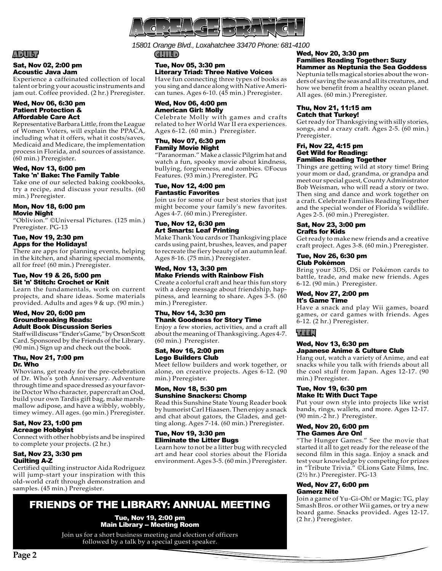

*15801 Orange Blvd., Loxahatchee 33470 Phone: 681-4100*

#### ADULT

#### Sat, Nov 02, 2:00 pm Acoustic Java Jam

Experience a caffeinated collection of local talent or bring your acoustic instruments and jam out. Coffee provided. (2 hr.) Preregister.

#### Wed, Nov 06, 6:30 pm Patient Protection & Affordable Care Act

Representative Barbara Little, from the League of Women Voters, will explain the PPACA, including what it offers, what it costs/saves, Medicaid and Medicare, the implementation process in Florida, and sources of assistance. (60 min.) Preregister.

#### Wed, Nov 13, 6:00 pm Take 'n' Bake: The Family Table

Take one of our selected baking cookbooks, try a recipe, and discuss your results. (60 min.) Preregister.

#### Mon, Nov 18, 6:00 pm Movie Night

"Oblivion." ©Universal Pictures. (125 min.) Preregister. PG-13

#### Tue, Nov 19, 2:30 pm Apps for the Holidays!

There are apps for planning events, helping in the kitchen, and sharing special moments, all for free! (60 min.) Preregister.

#### Tue, Nov 19 & 26, 5:00 pm Sit 'n' Stitch: Crochet or Knit

Learn the fundamentals, work on current projects, and share ideas. Some materials provided. Adults and ages 9 & up. (90 min.)

#### Wed, Nov 20, 6:00 pm Groundbreaking Reads: Adult Book Discussion Series

Staff will discuss "Ender's Game," by Orson Scott Card. Sponsored by the Friends of the Library. (90 min.) Sign up and check out the book.

#### Thu, Nov 21, 7:00 pm Dr. Who

Whovians, get ready for the pre-celebration of Dr. Who's 50th Anniversary. Adventure through time and space dressed as your favorite Doctor Who character, papercraft an Ood, build your own Tardis gift bag, make marshmallow adipose, and have a wibbly, wobbly, timey wimey. All ages. (90 min.) Preregister.

#### Sat, Nov 23, 1:00 pm Acreage Hobbyist

Connect with other hobbyists and be inspired to complete your projects. (2 hr.)

#### Sat, Nov 23, 3:30 pm Quilting A-Z

Certified quilting instructor Aida Rodriguez will jump-start your inspiration with this old-world craft through demonstration and samples. (45 min.) Preregister.

# FRIENDS OF THE LIBRARY: ANNUAL MEETING

Tue, Nov 19, 2:00 pm Main Library -- Meeting Room

Join us for a short business meeting and election of officers followed by a talk by a special guest speaker.

CHILD

#### Tue, Nov 05, 3:30 pm Literary Triad: Three Native Voices

Have fun connecting three types of books as you sing and dance along with Native American tunes. Ages 6-10. (45 min.) Preregister.

#### Wed, Nov 06, 4:00 pm American Girl: Molly

Celebrate Molly with games and crafts related to her World War II era experiences. Ages 6-12. (60 min.) Preregister.

#### Thu, Nov 07, 6:30 pm Family Movie Night

"Paranorman." Make a classic Pilgrim hat and watch a fun, spooky movie about kindness, bullying, forgiveness, and zombies. ©Focus Features. (93 min.) Preregister. PG

#### Tue, Nov 12, 4:00 pm Fantastic Favorites

Join us for some of our best stories that just might become your family's new favorites. Ages 4-7. (60 min.) Preregister.

#### Tue, Nov 12, 6:30 pm Art Smarts: Leaf Printing

Make Thank You cards or Thanksgiving place cards using paint, brushes, leaves, and paper to recreate the fiery beauty of an autumn leaf. Ages 8-16. (75 min.) Preregister.

#### Wed, Nov 13, 3:30 pm Make Friends with Rainbow Fish

Create a colorful craft and hear this fun story with a deep message about friendship, happiness, and learning to share. Ages 3-5. (60 min.) Preregister.

#### Thu, Nov 14, 3:30 pm Thank Goodness for Story Time

Enjoy a few stories, activities, and a craft all about the meaning of Thanksgiving. Ages 4-7. (60 min.) Preregister.

#### Sat, Nov 16, 2:00 pm Lego Builders Club

Meet fellow builders and work together, or alone, on creative projects. Ages 6-12. (90 min.) Preregister.

#### Mon, Nov 18, 5:30 pm Sunshine Snackers: Chomp

Read this Sunshine State Young Reader book by humorist Carl Hiaasen. Then enjoy a snack and chat about gators, the Glades, and getting along. Ages 7-14. (60 min.) Preregister.

#### Tue, Nov 19, 3:30 pm Eliminate the Litter Bugs

Learn how to not be a litter bug with recycled art and hear cool stories about the Florida environment. Ages 3-5. (60 min.) Preregister.

#### Wed, Nov 20, 3:30 pm Families Reading Together: Suzy Hammer as Neptunia the Sea Goddess

Neptunia tells magical stories about the wonders of saving the seas and all its creatures, and how we benefit from a healthy ocean planet. All ages. (60 min.) Preregister.

#### Thu, Nov 21, 11:15 am Catch that Turkey!

Get ready for Thanksgiving with silly stories, songs, and a crazy craft. Ages 2-5. (60 min.) Preregister.

#### Fri, Nov 22, 4:15 pm Get Wild for Reading: Families Reading Together

Things are getting wild at story time! Bring your mom or dad, grandma, or grandpa and meet our special guest, County Administrator Bob Weisman, who will read a story or two. Then sing and dance and work together on a craft. Celebrate Families Reading Together and the special wonder of Florida's wildlife. Ages 2-5. (60 min.) Preregister.

#### Sat, Nov 23, 3:00 pm Crafts for Kids

Get ready to make new friends and a creative craft project. Ages 3-8. (60 min.) Preregister.

#### Tue, Nov 26, 6:30 pm Club Pokémon

Bring your 3DS, DSi or Pokémon cards to battle, trade, and make new friends. Ages 6-12. (90 min.) Preregister.

#### Wed, Nov 27, 2:00 pm It's Game Time

Have a snack and play Wii games, board games, or card games with friends. Ages 6-12. (2 hr.) Preregister.

# TEEN

#### Wed, Nov 13, 6:30 pm Japanese Anime & Culture Club

Hang out, watch a variety of Anime, and eat snacks while you talk with friends about all the cool stuff from Japan. Ages 12-17. (90 min.) Preregister.

#### Tue, Nov 19, 6:30 pm Make It: With Duct Tape

Put your own style into projects like wrist bands, rings, wallets, and more. Ages 12-17. (90 min.-2 hr.) Preregister.

#### Wed, Nov 20, 6:00 pm The Games Are On!

"The Hunger Games." See the movie that started it all to get ready for the release of the second film in this saga. Enjoy a snack and test your knowledge by competing for prizes in "Tribute Trivia." ©Lions Gate Films, Inc. (2½ hr.) Preregister. PG-13

#### Wed, Nov 27, 6:00 pm Gamerz Nite

Join a game of Yu-Gi-Oh! or Magic: TG, play Smash Bros. or other Wii games, or try a new board game. Snacks provided. Ages 12-17. (2 hr.) Preregister.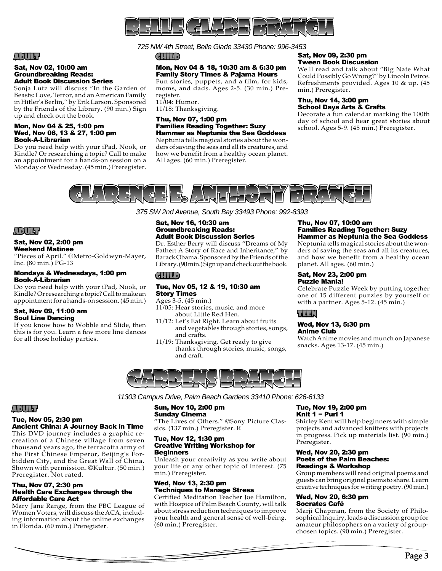

*725 NW 4th Street, Belle Glade 33430 Phone: 996-3453* 

CHILD

#### Mon, Nov 04 & 18, 10:30 am & 6:30 pm Family Story Times & Pajama Hours

Fun stories, puppets, and a film, for kids, moms, and dads. Ages 2-5. (30 min.) Preregister. 11/04: Humor.

11/18: Thanksgiving.

#### Thu, Nov 07, 1:00 pm Families Reading Together: Suzy Hammer as Neptunia the Sea Goddess

Neptunia tells magical stories about the wonders of saving the seas and all its creatures, and how we benefit from a healthy ocean planet. All ages. (60 min.) Preregister.

#### Sat, Nov 09, 2:30 pm Tween Book Discussion

We'll read and talk about "Big Nate What Could Possibly Go Wrong?" by Lincoln Peirce. Refreshments provided. Ages 10 & up. (45 min.) Preregister.

#### Thu, Nov 14, 3:00 pm School Days Arts & Crafts

Decorate a fun calendar marking the 100th day of school and hear great stories about school. Ages 5-9. (45 min.) Preregister.



*375 SW 2nd Avenue, South Bay 33493 Phone: 992-8393*

# ADULT

ADULT

Sat, Nov 02, 10:00 am Groundbreaking Reads: Adult Book Discussion Series

up and check out the book. Mon, Nov 04 & 25, 1:00 pm Wed, Nov 06, 13 & 27, 1:00 pm

Book-A-Librarian

Sonja Lutz will discuss "In the Garden of Beasts: Love, Terror, and an American Family in Hitler's Berlin," by Erik Larson. Sponsored by the Friends of the Library. (90 min.) Sign

Do you need help with your iPad, Nook, or Kindle? Or researching a topic? Call to make an appointment for a hands-on session on a Monday or Wednesday. (45 min.) Preregister.

#### Sat, Nov 02, 2:00 pm Weekend Matinee

"Pieces of April." ©Metro-Goldwyn-Mayer, Inc. (80 min.) PG-13

#### Mondays & Wednesdays, 1:00 pm Book-A-Librarian

Do you need help with your iPad, Nook, or Kindle? Or researching a topic? Call to make an appointment for a hands-on session. (45 min.)

#### Sat, Nov 09, 11:00 am Soul Line Dancing

If you know how to Wobble and Slide, then this is for you. Learn a few more line dances for all those holiday parties.

#### Sat, Nov 16, 10:30 am Groundbreaking Reads: Adult Book Discussion Series

Dr. Esther Berry will discuss "Dreams of My Father: A Story of Race and Inheritance," by Barack Obama. Sponsored by the Friends of the Library. (90 min.) Sign up and check out the book.

#### CHILD

#### Tue, Nov 05, 12 & 19, 10:30 am Story Times

Ages 3-5. (45 min.) 11/05: Hear stories, music, and more

- about Little Red Hen.
- 11/12: Let's Eat Right. Learn about fruits and vegetables through stories, songs, and crafts.
- 11/19: Thanksgiving. Get ready to give thanks through stories, music, songs, and craft.

#### Thu, Nov 07, 10:00 am Families Reading Together: Suzy Hammer as Neptunia the Sea Goddess

Neptunia tells magical stories about the wonders of saving the seas and all its creatures, and how we benefit from a healthy ocean planet. All ages. (60 min.)

#### Sat, Nov 23, 2:00 pm Puzzle Mania!

Celebrate Puzzle Week by putting together one of 15 different puzzles by yourself or with a partner. Ages 5-12. (45 min.)

# TEEN

#### Wed, Nov 13, 5:30 pm Anime Club

Watch Anime movies and munch on Japanese snacks. Ages 13-17. (45 min.)



*11303 Campus Drive, Palm Beach Gardens 33410 Phone: 626-6133*

# Sun, Nov 10, 2:00 pm

# Sunday Cinema

"The Lives of Others." ©Sony Picture Classics. (137 min.) Preregister. R

#### Tue, Nov 12, 1:30 pm Creative Writing Workshop for Beginners

Unleash your creativity as you write about your life or any other topic of interest. (75 min.) Preregister.

#### Wed, Nov 13, 2:30 pm Techniques to Manage Stress

Certified Meditation Teacher Joe Hamilton, with Hospice of Palm Beach County, will talk about stress reduction techniques to improve your health and general sense of well-being. (60 min.) Preregister.

#### Tue, Nov 19, 2:00 pm Knit 1 − Purl 1

Shirley Kent will help beginners with simple projects and advanced knitters with projects in progress. Pick up materials list. (90 min.) Preregister.

#### Wed, Nov 20, 2:30 pm Poets of the Palm Beaches: Readings & Workshop

Group members will read original poems and guests can bring original poems to share. Learn creative techniques for writing poetry. (90 min.)

#### Wed, Nov 20, 6:30 pm Socrates Café

Marji Chapman, from the Society of Philosophical Inquiry, leads a discussion group for amateur philosophers on a variety of groupchosen topics. (90 min.) Preregister.

# ADULT

#### Tue, Nov 05, 2:30 pm Ancient China: A Journey Back in Time

This DVD journey includes a graphic recreation of a Chinese village from seven thousand years ago, the terracotta army of the First Chinese Emperor, Beijing's Forbidden City, and the Great Wall of China. Shown with permission. ©Kultur. (50 min.) Preregister. Not rated.

#### Thu, Nov 07, 2:30 pm Health Care Exchanges through the Affordable Care Act

Mary Jane Range, from the PBC League of Women Voters, will discuss the ACA, including information about the online exchanges in Florida. (60 min.) Preregister.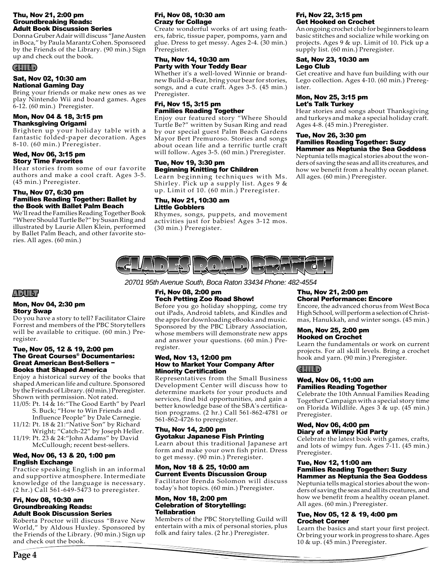#### Thu, Nov 21, 2:00 pm Groundbreaking Reads: Adult Book Discussion Series

Donna Gruber Adair will discuss "Jane Austen in Boca," by Paula Marantz Cohen. Sponsored by the Friends of the Library. (90 min.) Sign up and check out the book.

#### CHILD

#### Sat, Nov 02, 10:30 am National Gaming Day

Bring your friends or make new ones as we play Nintendo Wii and board games. Ages  $6-12.$  (60 min.) Preregister.

#### Mon, Nov 04 & 18, 3:15 pm Thanksgiving Origami

Brighten up your holiday table with a fantastic folded-paper decoration. Ages 8-10. (60 min.) Preregister.

#### Wed, Nov 06, 3:15 pm Story Time Favorites

Hear stories from some of our favorite authors and make a cool craft. Ages 3-5. (45 min.) Preregister.

#### Thu, Nov 07, 6:30 pm Families Reading Together: Ballet by the Book with Ballet Palm Beach

We'll read the Families Reading Together Book "Where Should Turtle Be?" by Susan Ring and illustrated by Laurie Allen Klein, performed by Ballet Palm Beach, and other favorite stories. All ages. (60 min.)

#### Fri, Nov 08, 10:30 am Crazy for Collage

Create wonderful works of art using feathers, fabric, tissue paper, pompoms, yarn and glue. Dress to get messy. Ages 2-4. (30 min.) Preregister.

#### Thu, Nov 14, 10:30 am Party with Your Teddy Bear

Whether it's a well-loved Winnie or brandnew Build-a-Bear, bring your bear for stories, songs, and a cute craft. Ages 3-5. (45 min.) Preregister.

#### Fri, Nov 15, 3:15 pm Families Reading Together

Enjoy our featured story "Where Should Turtle Be?" written by Susan Ring and read by our special guest Palm Beach Gardens Mayor Bert Premuroso. Stories and songs about ocean life and a terrific turtle craft will follow. Ages 3-5. (60 min.) Preregister.

#### Tue, Nov 19, 3:30 pm Beginning Knitting for Children

Learn beginning techniques with Ms. Shirley. Pick up a supply list. Ages 9 & up. Limit of 10. (60 min.) Preregister.

#### Thu, Nov 21, 10:30 am Little Gobblers

Rhymes, songs, puppets, and movement activities just for babies! Ages 3-12 mos. (30 min.) Preregister.

#### Fri, Nov 22, 3:15 pm Get Hooked on Crochet

An ongoing crochet club for beginners to learn basic stitches and socialize while working on projects. Ages 9 & up. Limit of 10. Pick up a supply list. (60 min.) Preregister.

#### Sat, Nov 23, 10:30 am Lego Club

Get creative and have fun building with our Lego collection. Ages 4-10. (60 min.) Preregister.

#### Mon, Nov 25, 3:15 pm Let's Talk Turkey

Hear stories and songs about Thanksgiving and turkeys and make a special holiday craft. Ages 4-8. (45 min.) Preregister.

# Tue, Nov 26, 3:30 pm Families Reading Together: Suzy

Hammer as Neptunia the Sea Goddess Neptunia tells magical stories about the wonders of saving the seas and all its creatures, and how we benefit from a healthy ocean planet. All ages. (60 min.) Preregister.



*20701 95th Avenue South, Boca Raton 33434 Phone: 482-4554*

# ADULT

#### Mon, Nov 04, 2:30 pm Story Swap

Do you have a story to tell? Facilitator Claire Forrest and members of the PBC Storytellers will be available to critique. (60 min.) Preregister.

#### Tue, Nov 05, 12 & 19, 2:00 pm The Great Courses® Documentaries: Great American Best-Sellers − Books that Shaped America

Enjoy a historical survey of the books that shaped American life and culture. Sponsored by the Friends of Library. (60 min.) Preregister. Shown with permission. Not rated.

- 11/05: Pt. 14 & 16:"The Good Earth" by Pearl S. Buck; "How to Win Friends and Influence People" by Dale Carnegie.
- 11/12: Pt. 18 & 21:"Native Son" by Richard Wright; "Catch-22" by Joseph Heller.
- 11/19: Pt. 23 & 24:"John Adams" by David McCullough; recent best-sellers.

#### Wed, Nov 06, 13 & 20, 1:00 pm English Exchange

Practice speaking English in an informal and supportive atmosphere. Intermediate knowledge of the language is necessary. (2 hr.) Call 561-649-5473 to preregister.

#### Fri, Nov 08, 10:30 am Groundbreaking Reads: Adult Book Discussion Series

Roberta Proctor will discuss "Brave New World," by Aldous Huxley. Sponsored by the Friends of the Library. (90 min.) Sign up and check out the book.

#### Fri, Nov 08, 2:00 pm Tech Petting Zoo Road Show!

Before you go holiday shopping, come try out iPads, Android tablets, and Kindles and the apps for downloading eBooks and music. Sponsored by the PBC Library Association, whose members will demonstrate new apps and answer your questions.  $(60 \text{ min.})$  Preregister.

#### Wed, Nov 13, 12:00 pm How to Market Your Company After **Minority Certification**

Representatives from the Small Business Development Center will discuss how to determine markets for your products and services, find bid opportunities, and gain a better knowledge base of the SBA's certification programs. (2 hr.) Call 561-862-4781 or 561-862-4726 to preregister.

#### Thu, Nov 14, 2:00 pm Gyotaku: Japanese Fish Printing

Learn about this traditional Japanese art form and make your own fish print. Dress to get messy. (90 min.) Preregister.

#### Mon, Nov 18 & 25, 10:00 am Current Events Discussion Group

Facilitator Brenda Solomon will discuss today's hot topics. (60 min.) Preregister.

#### Mon, Nov 18, 2:00 pm Celebration of Storytelling: Tellabration

Members of the PBC Storytelling Guild will entertain with a mix of personal stories, plus folk and fairy tales. (2 hr.) Preregister.

#### Thu, Nov 21, 2:00 pm Choral Performance: Encore

Encore, the advanced chorus from West Boca High School, will perform a selection of Christmas, Hanukkah, and winter songs. (45 min.)

#### Mon, Nov 25, 2:00 pm Hooked on Crochet

Learn the fundamentals or work on current projects. For all skill levels. Bring a crochet hook and yarn. (90 min.) Preregister.

# CHILD

#### Wed, Nov 06, 11:00 am Families Reading Together

Celebrate the 10th Annual Families Reading Together Campaign with a special story time on Florida Wildlife. Ages 3 & up. (45 min.) Preregister.

#### Wed, Nov 06, 4:00 pm Diary of a Wimpy Kid Party

Celebrate the latest book with games, crafts, and lots of wimpy fun. Ages 7-11. (45 min.) Preregister.

# Tue, Nov 12, 11:00 am Families Reading Together: Suzy

Hammer as Neptunia the Sea Goddess Neptunia tells magical stories about the wonders of saving the seas and all its creatures, and how we benefit from a healthy ocean planet. All ages. (60 min.) Preregister.

#### Tue, Nov 05, 12 & 19, 4:00 pm Crochet Corner

Learn the basics and start your first project. Or bring your work in progress to share. Ages 10 & up. (45 min.) Preregister.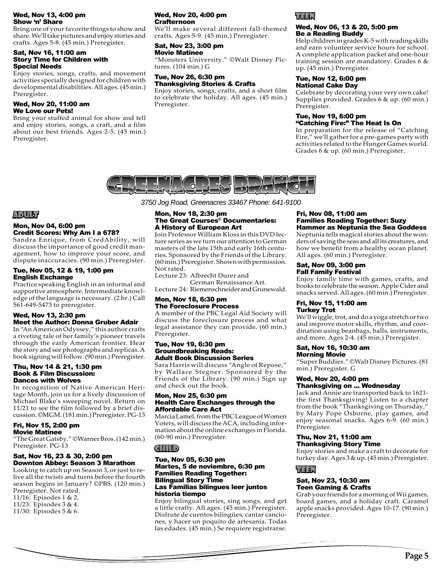#### Wed, Nov 13, 4:00 pm Show 'n' Share

Bring one of your favorite things to show and share. We'll take pictures and enjoy stories and crafts. Ages 5-8. (45 min.) Preregister.

#### Sat, Nov 16, 11:00 am Story Time for Children with Special Needs

Enjoy stories, songs, crafts, and movement activities specially designed for children with developmental disabilities. All ages. (45 min.) Preregister.

#### Wed, Nov 20, 11:00 am We Love our Pets!

Bring your stuffed animal for show and tell and enjoy stories, songs, a craft, and a film about our best friends. Ages 2-5. (45 min.) Preregister.

#### Wed, Nov 20, 4:00 pm Crafternoon

We'll make several different fall-themed crafts. Ages 5-9. (45 min.) Preregister.

#### Sat, Nov 23, 3:00 pm Movie Matinee

"Monsters University." ©Walt Disney Pictures. (104 min.) G

#### Tue, Nov 26, 6:30 pm Thanksgiving Stories & Crafts

Enjoy stories, songs, crafts, and a short film to celebrate the holiday. All ages. (45 min.) Preregister.

# TEEN

#### Wed, Nov 06, 13 & 20, 5:00 pm Be a Reading Buddy

Help children in grades K-5 with reading skills and earn volunteer service hours for school. A complete application packet and one-hour training session are mandatory. Grades 6 & up. (45 min.) Preregister.

#### Tue, Nov 12, 6:00 pm National Cake Day

Celebrate by decorating your very own cake! Supplies provided. Grades 6 & up. (60 min.) Preregister.

#### Tue, Nov 19, 6:00 pm "Catching Fire:" The Heat Is On

In preparation for the release of "Catching Fire," we'll gather for a pre-games party with activities related to the Hunger Games world. Grades 6 & up. (60 min.) Preregister.



# ADULT

#### Mon, Nov 04, 6:00 pm Credit Scores: Why Am I a 678?

Sandra Enrique, from CredAbility, will discuss the importance of good credit management, how to improve your score, and dispute inaccuracies. (90 min.) Preregister.

#### Tue, Nov 05, 12 & 19, 1:00 pm English Exchange

Practice speaking English in an informal and supportive atmosphere. Intermediate knowledge of the language is necessary. (2 hr.) Call 561-649-5473 to preregister.

#### Wed, Nov 13, 2:30 pm Meet the Author: Donna Gruber Adair

In "An American Odyssey," this author crafts a riveting tale of her family's pioneer travels through the early American frontier. Hear the story and see photographs and replicas. A book signing will follow. (90 min.) Preregister.

#### Thu, Nov 14 & 21, 1:30 pm Book & Film Discussion: Dances with Wolves

In recognition of Native American Heritage Month, join us for a lively discussion of Michael Blake's sweeping novel. Return on 11/21 to see the film followed by a brief discussion. ©MGM. (181 min.) Preregister. PG-13

#### Fri, Nov 15, 2:00 pm Movie Matinee

"The Great Gatsby." ©Warner Bros. (142 min.) Preregister. PG-13

#### Sat, Nov 16, 23 & 30, 2:00 pm Downton Abbey: Season 3 Marathon

Looking to catch up on Season 3, or just to relive all the twists and turns before the fourth season begins in January? ©PBS. (120 min.) Preregister. Not rated. 11/16: Episodes 1 & 2. 11/23: Episodes 3 & 4.

11/30: Episodes 5 & 6.

*3750 Jog Road, Greenacres 33467 Phone: 641-9100*

#### Mon, Nov 18, 2:30 pm The Great Courses® Documentaries: A History of European Art

Join Professor William Kloss in this DVD lecture series as we turn our attention to German masters of the late 15th and early 16th centuries. Sponsored by the Friends of the Library. (60 min.) Preregister. Shown with permission. Not rated.

Lecture 23: Albrecht Durer and German Renaissance Art.

Lecture 24: Riemenschneider and Grunewald.

#### Mon, Nov 18, 6:30 pm The Foreclosure Process

A member of the PBC Legal Aid Society will discuss the foreclosure process and what legal assistance they can provide. (60 min.) Preregister.

#### Tue, Nov 19, 6:30 pm Groundbreaking Reads: Adult Book Discussion Series

Sara Harris will discuss "Angle of Repose," by Wallace Stegner. Sponsored by the Friends of the Library. (90 min.) Sign up and check out the book.

#### Mon, Nov 25, 6:30 pm Health Care Exchanges through the Affordable Care Act

Marcia Lamel, from the PBC League of Women Voters, will discuss the ACA, including information about the online exchanges in Florida. (60-90 min.) Preregister.

#### CHILD

#### Tue, Nov 05, 6:30 pm Martes, 5 de noviembre, 6:30 pm Families Reading Together: Bilingual Story Time Las Familias bilingues leer juntos historia tiempo

Enjoy bilingual stories, sing songs, and get a little crafty. All ages. (45 min.) Preregister. Disfrute de cuentos bilingües, cantar canciones, y hacer un poquito de artesania. Todas las edades. (45 min.) Se requiere registrarse.

#### Fri, Nov 08, 11:00 am Families Reading Together: Suzy Hammer as Neptunia the Sea Goddess

Neptunia tells magical stories about the wonders of saving the seas and all its creatures, and how we benefit from a healthy ocean planet. All ages. (60 min.) Preregister.

#### Sat, Nov 09, 3:00 pm Fall Family Festival

Enjoy family time with games, crafts, and books to celebrate the season. Apple Cider and snacks served. All ages. (60 min.) Preregister.

#### Fri, Nov 15, 11:00 am Turkey Trot

We'll wiggle, trot, and do a yoga stretch or two and improve motor skills, rhythm, and coordination using beanbags, balls, instruments, and more. Ages 2-4. (45 min.) Preregister.

#### Sat, Nov 16, 10:30 am Morning Movie

"Super Buddies." ©Walt Disney Pictures. (81 min.) Preregister. G

#### Wed, Nov 20, 4:00 pm Thanksgiving on ... Wednesday

Jack and Annie are transported back to 1621 the first Thanksgiving! Listen to a chapter from the book "Thanksgiving on Thursday," by Mary Pope Osborne, play games, and enjoy seasonal snacks. Ages 6-9. (60 min.) Preregister.

#### Thu, Nov 21, 11:00 am Thanksgiving Story Time

Enjoy stories and make a craft to decorate for turkey day. Ages 3 & up. (45 min.) Preregister.

# TEEN

#### Sat, Nov 23, 10:30 am Teen Gaming & Crafts

Grab your friends for a morning of Wii games, board games, and a holiday craft. Caramel apple snacks provided. Ages 10-17. (90 min.) Preregister.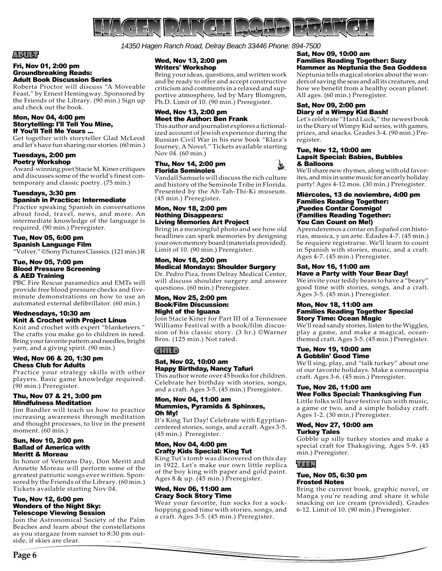

*14350 Hagen Ranch Road, Delray Beach 33446 Phone: 894-7500* 

# ADULT

#### Fri, Nov 01, 2:00 pm Groundbreaking Reads: Adult Book Discussion Series

Roberta Proctor will discuss "A Moveable Feast," by Ernest Hemingway. Sponsored by the Friends of the Library. (90 min.) Sign up and check out the book.

#### Mon, Nov 04, 4:00 pm Storytelling: I'll Tell You Mine, If You'll Tell Me Yours ...

Get together with storyteller Glad McLeod and let's have fun sharing our stories. (60 min.)

#### Tuesdays, 2:00 pm Poetry Workshop

Award-winning poet Stacie M. Kiner critiques and discusses some of the world's finest contemporary and classic poetry. (75 min.)

#### Tuesdays, 3:30 pm Spanish in Practice: Intermediate

Practice speaking Spanish in conversations about food, travel, news, and more. An intermediate knowledge of the language is required. (90 min.) Preregister.

#### Tue, Nov 05, 6:00 pm Spanish Language Film

"Volver." ©Sony Pictures Classics. (121 min.) R

#### Tue, Nov 05, 7:00 pm Blood Pressure Screening & AED Training

PBC Fire Rescue paramedics and EMTs will provide free blood pressure checks and fiveminute demonstrations on how to use an automated external defibrillator. (60 min.)

#### Wednesdays, 10:30 am Knit & Crochet with Project Linus

Knit and crochet with expert "blanketeers." The crafts you make go to children in need. Bring your favorite pattern and needles, bright yarn, and a giving spirit. (90 min.)

#### Wed, Nov 06 & 20, 1:30 pm Chess Club for Adults

Practice your strategy skills with other players. Basic game knowledge required. (90 min.) Preregister.

#### Thu, Nov 07 & 21, 3:00 pm Mindfulness Meditation

Jim Bandler will teach us how to practice increasing awareness through meditation and thought processes, to live in the present moment. (60 min.)

#### Sun, Nov 10, 2:00 pm Ballad of America with Meritt & Moreau

In honor of Veterans Day, Don Meritt and Annette Moreau will perform some of the greatest patriotic songs ever written. Sponsored by the Friends of the Library.  $(60 \text{ min.})$ Tickets available starting Nov 04.

#### Tue, Nov 12, 6:00 pm Wonders of the Night Sky: Telescope Viewing Session

Join the Astronomical Society of the Palm Beaches and learn about the constellations as you stargaze from sunset to 8:30 pm outside, if skies are clear.

#### Wed, Nov 13, 2:00 pm Writers' Workshop

Bring your ideas, questions, and written work and be ready to offer and accept constructive criticism and comments in a relaxed and supportive atmosphere, led by Mary Blomgren, Ph.D. Limit of 10. (90 min.) Preregister.

#### Wed, Nov 13, 2:00 pm Meet the Author: Ben Frank

This author and journalist explores a fictionalized account of Jewish experience during the Russian Civil War in his new book "Klara's Journey, A Novel." Tickets available starting Nov 04. (60 min.)

#### Thu, Nov 14, 2:00 pm Florida Seminoles

Vandall Samuels will discuss the rich culture and history of the Seminole Tribe in Florida. Presented by the Ah-Tah-Thi-Ki museum. (45 min.) Preregister.

#### Mon, Nov 18, 2:00 pm Nothing Disappears: Living Memories Art Project

Bring in a meaningful photo and see how old headlines can spark memories by designing your own memory board (materials provided). Limit of 10. (90 min.) Preregister.

#### Mon, Nov 18, 2:00 pm Medical Mondays: Shoulder Surgery

Dr. Pedro Piza, from Delray Medical Center, will discuss shoulder surgery and answer questions. (60 min.) Preregister.

#### Mon, Nov 25, 2:00 pm Book/Film Discussion: Night of the Iguana

Join Stacie Kiner for Part III of a Tennessee Williams Festival with a book/film discussion of his classic story. (3 hr.) ©Warner Bros. (125 min.) Not rated.

# CHILD

#### Sat, Nov 02, 10:00 am Happy Birthday, Nancy Tafuri

This author wrote over 45 books for children. Celebrate her birthday with stories, songs, and a craft. Ages 3-5. (45 min.) Preregister.

#### Mon, Nov 04, 11:00 am Mummies, Pyramids & Sphinxes, Oh My!

It's King Tut Day! Celebrate with Egyptiancentered stories, songs, and a craft. Ages 3-5. (45 min.) Preregister.

#### Mon, Nov 04, 4:00 pm Crafty Kids Special: King Tut

King Tut's tomb was discovered on this day in 1922. Let's make our own little replica of the boy king with paper and gold paint. Ages 8 & up. (45 min.) Preregister.

#### Wed, Nov 06, 11:00 am Crazy Sock Story Time

Wear your favorite, fun socks for a sockhopping good time with stories, songs, and a craft. Ages 3-5. (45 min.) Preregister.

#### Sat, Nov 09, 10:00 am Families Reading Together: Suzy Hammer as Neptunia the Sea Goddess

Neptunia tells magical stories about the wonders of saving the seas and all its creatures, and how we benefit from a healthy ocean planet. All ages. (60 min.) Preregister.

#### Sat, Nov 09, 2:00 pm Diary of a Wimpy Kid Bash!

Let's celebrate "Hard Luck," the newest book in the Diary of Wimpy Kid series, with games, prizes, and snacks. Grades 3-4. (90 min.) Preregister.

#### Tue, Nov 12, 10:00 am Lapsit Special: Babies, Bubbles & Balloons

We'll share new rhymes, along with old favorites, and mix in some music for an early holiday party! Ages 4-12 mos. (30 min.) Preregister.

#### Miércoles, 13 de noviembre, 4:00 pm Families Reading Together: ¡Puedes Contar Conmigo! (Families Reading Together: You Can Count on Me!)

Aprenderemos a contar en Español con historias, musica, y un arte. Edades 4-7. (45 min.) Se requiere registrarse. We'll learn to count in Spanish with stories, music, and a craft. Ages 4-7. (45 min.) Preregister.

#### Sat, Nov 16, 11:00 am Have a Party with Your Bear Day!

We invite your teddy bears to have a "beary" good time with stories, songs, and a craft. Ages 3-5. (45 min.) Preregister.

#### Mon, Nov 18, 11:00 am Families Reading Together Special Story Time: Ocean Magic

We'll read sandy stories, listen to the Wiggles, play a game, and make a magical, oceanthemed craft. Ages 3-5. (45 min.) Preregister.

#### Tue, Nov 19, 10:00 am A Gobblin' Good Time

We'll sing, play, and "talk turkey" about one of our favorite holidays. Make a cornucopia craft. Ages 3-6. (45 min.) Preregister.

#### Tue, Nov 26, 11:00 am Wee Folks Special: Thanksgiving Fun

Little folks will have festive fun with music, a game or two, and a simple holiday craft. Ages 1-2. (30 min.) Preregister.

# Wed, Nov 27, 10:00 am

Turkey Tales

Gobble up silly turkey stories and make a special craft for Thaksgiving. Ages 5-9. (45 min.) Preregister.

# TEEN

#### Tue, Nov 05, 6:30 pm Frosted Notes

Bring the current book, graphic novel, or Manga you're reading and share it while snacking on ice cream (provided). Grades 6-12. Limit of 10. (90 min.) Preregister.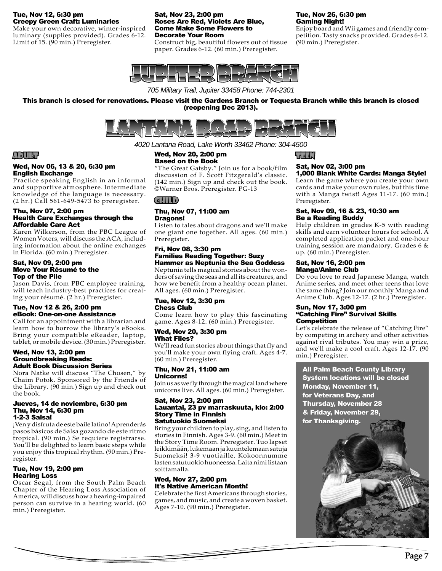#### Tue, Nov 12, 6:30 pm Creepy Green Craft: Luminaries

Make your own decorative, winter-inspired luminary (supplies provided). Grades 6-12. Limit of 15. (90 min.) Preregister.

#### Sat, Nov 23, 2:00 pm Roses Are Red, Violets Are Blue, Come Make Some Flowers to Decorate Your Room

Construct big, beautiful flowers out of tissue paper. Grades 6-12. (60 min.) Preregister.

# Tue, Nov 26, 6:30 pm Gaming Night!

Enjoy board and Wii games and friendly competition. Tasty snacks provided. Grades 6-12. (90 min.) Preregister.



*705 Military Trail, Jupiter 33458 Phone: 744-2301*

This branch is closed for renovations. Please visit the Gardens Branch or Tequesta Branch while this branch is closed (reopening Dec 2013).



*4020 Lantana Road, Lake Worth 33462 Phone: 304-4500*

#### Wed, Nov 20, 2:00 pm Based on the Book

"The Great Gatsby." Join us for a book/film discussion of F. Scott Fitzgerald's classic. (142 min.) Sign up and check out the book. ©Warner Bros. Preregister. PG-13

 $(d|| ||$ 

#### Thu, Nov 07, 11:00 am Dragons!

Listen to tales about dragons and we'll make one giant one together. All ages. (60 min.) Preregister.

#### Fri, Nov 08, 3:30 pm Families Reading Together: Suzy Hammer as Neptunia the Sea Goddess

Neptunia tells magical stories about the wonders of saving the seas and all its creatures, and how we benefit from a healthy ocean planet. All ages. (60 min.) Preregister.

#### Tue, Nov 12, 3:30 pm Chess Club

Come learn how to play this fascinating game. Ages 8-12. (60 min.) Preregister.

#### Wed, Nov 20, 3:30 pm What Flies?

We'll read fun stories about things that fly and you'll make your own flying craft. Ages 4-7. (60 min.) Preregister.

#### Thu, Nov 21, 11:00 am Unicorns!

Join us as we fly through the magical land where unicorns live. All ages. (60 min.) Preregister.

#### Sat, Nov 23, 2:00 pm Lauantai, 23 pv marraskuuta, klo: 2:00 Story Time in Finnish Satutuokio Suomeksi

Bring your children to play, sing, and listen to stories in Finnish. Ages 3-9. (60 min.) Meet in the Story Time Room. Preregister. Tuo lapset leikkimään, lukemaan ja kuuntelemaan satuja Suomeksi! 3-9 vuotiaille. Kokoonnumme lasten satutuokio huoneessa. Laita nimi listaan soittamalla.

#### Wed, Nov 27, 2:00 pm It's Native American Month!

Celebrate the first Americans through stories, games, and music, and create a woven basket. Ages 7-10. (90 min.) Preregister.

TEEN

#### Sat, Nov 02, 3:00 pm 1,000 Blank White Cards: Manga Style!

Learn the game where you create your own cards and make your own rules, but this time with a Manga twist! Ages 11-17. (60 min.) Preregister.

#### Sat, Nov 09, 16 & 23, 10:30 am Be a Reading Buddy

Help children in grades K-5 with reading skills and earn volunteer hours for school. A completed application packet and one-hour training session are mandatory. Grades 6 & up. (60 min.) Preregister.

#### Sat, Nov 16, 2:00 pm Manga/Anime Club

Do you love to read Japanese Manga, watch Anime series, and meet other teens that love the same thing? Join our monthly Manga and Anime Club. Ages 12-17. (2 hr.) Preregister.

#### Sun, Nov 17, 3:00 pm "Catching Fire" Survival Skills **Competition**

Let's celebrate the release of "Catching Fire" by competing in archery and other activities against rival tributes. You may win a prize, and we'll make a cool craft. Ages 12-17. (90 min.) Preregister.

**All Palm Beach County Library** System locations will be closed Monday, November 11, for Veterans Day, and **Thursday, November 28** & Friday, November 29, for Thanksgiving.



# ADULT

#### Wed, Nov 06, 13 & 20, 6:30 pm English Exchange

Practice speaking English in an informal and supportive atmosphere. Intermediate knowledge of the language is necessary. (2 hr.) Call 561-649-5473 to preregister.

#### Thu, Nov 07, 2:00 pm Health Care Exchanges through the Affordable Care Act

Karen Wilkerson, from the PBC League of Women Voters, will discuss the ACA, including information about the online exchanges in Florida. (60 min.) Preregister.

#### Sat, Nov 09, 2:00 pm Move Your Résumé to the Top of the Pile

Jason Davis, from PBC employee training, will teach industry-best practices for creating your résumé. (2 hr.) Preregister.

# Tue, Nov 12 & 26, 2:00 pm eBook: One-on-one Assistance

Call for an appointment with a librarian and learn how to borrow the library's eBooks. Bring your compatible eReader, laptop, tablet, or mobile device. (30 min.) Preregister.

#### Wed, Nov 13, 2:00 pm Groundbreaking Reads: Adult Book Discussion Series

Nora Natke will discuss "The Chosen," by Chaim Potok. Sponsored by the Friends of the Library. (90 min.) Sign up and check out the book.

#### Jueves, 14 de noviembre, 6:30 pm Thu, Nov 14, 6:30 pm 1-2-3 Salsa!

¡Ven y disfruta de este baile latino! Aprenderás pasos básicos de Salsa gozando de este ritmo tropical. (90 min.) Se requiere registrarse. You'll be delighted to learn basic steps while you enjoy this tropical rhythm. (90 min.) Preregister.

#### Tue, Nov 19, 2:00 pm Hearing Loss

Oscar Segal, from the South Palm Beach Chapter of the Hearing Loss Association of America, will discuss how a hearing-impaired person can survive in a hearing world. (60 min.) Preregister.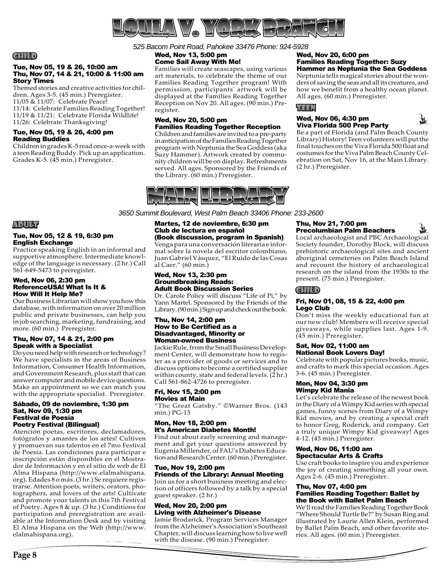

*525 Bacom Point Road, Pahokee 33476 Phone: 924-5928*

#### CHILD

#### Tue, Nov 05, 19 & 26, 10:00 am Thu, Nov 07, 14 & 21, 10:00 & 11:00 am Story Times

Themed stories and creative activities for children. Ages 3-5. (45 min.) Preregister. 11/05 & 11/07: Celebrate Peace! 11/14: Celebrate Families Reading Together! 11/19 & 11/21: Celebrate Florida Wildlife! 11/26: Celebrate Thanksgiving!

#### Tue, Nov 05, 19 & 26, 4:00 pm Reading Buddies

Children in grades K-5 read once-a-week with a teen Reading Buddy. Pick up an application. Grades K-5. (45 min.) Preregister.

#### Wed, Nov 13, 5:00 pm Come Sail Away With Me!

Families will create seascapes, using various art materials, to celebrate the theme of our Families Reading Together program! With permission, participants' artwork will be displayed at the Families Reading Together Reception on Nov 20. All ages. (90 min.) Preregister.

#### Wed, Nov 20, 5:00 pm Families Reading Together Reception

Children and families are invited to a pre-party in anticipation of the Families Reading Together program with Neptunia the Sea Goddess (aka Suzy Hammer). Artwork created by community children will be on display. Refreshments served. All ages. Sponsored by the Friends of the Library. (60 min.) Preregister.

Families Reading Together: Suzy Hammer as Neptunia the Sea Goddess Neptunia tells magical stories about the won-

ders of saving the seas and all its creatures, and how we benefit from a healthy ocean planet. All ages. (60 min.) Preregister.

# TEEN

#### Wed, Nov 06, 4:30 pm Viva Florida 500 Prep Party

Wed, Nov 20, 6:00 pm

Be a part of Florida (and Palm Beach County Library) History! Teen volunteers will put the final touches on the Viva Florida 500 float and costumes for the Viva Palm Beach County Celebration on Sat, Nov 16, at the Main Library. (2 hr.) Preregister.

*3650 Summit Boulevard, West Palm Beach 33406 Phone: 233-2600*

# Martes, 12 de noviembre, 6:30 pm Club de lectura en español

(Book discussion, program in Spanish) Venga para una conversación literaria e informal sobre la novela del escritor colombiano, Juan Gabriel Vásquez, "El Ruido de las Cosas al Caer." (60 min.)

#### Wed, Nov 13, 2:30 pm Groundbreaking Reads: Adult Book Discussion Series

Dr. Carole Policy will discuss "Life of Pi," by Yann Martel. Sponsored by the Friends of the Library. (90 min.) Sign up and check out the book.

#### Thu, Nov 14, 2:00 pm How to Be Certified as a Disadvantaged, Minority or Woman-owned Business

Jackie Rule, from the Small Business Development Center, will demonstrate how to register as a provider of goods or services and to discuss options to become a certified supplier within county, state and federal levels. (2 hr.) Call 561-862-4726 to preregister.

#### Fri, Nov 15, 2:00 pm Movies at Main

"The Great Gatsby." ©Warner Bros. (143 min.) PG-13

#### Mon, Nov 18, 2:00 pm It's American Diabetes Month!

Find out about early screening and management and get your questions answered by Eugenia Millender, of FAU's Diabetes Education and Research Center. (60 min.) Preregister.

# Tue, Nov 19, 2:00 pm Friends of the Library: Annual Meeting

Join us for a short business meeting and election of officers followed by a talk by a special guest speaker. (2 hr.)

#### Wed, Nov 20, 2:00 pm Living with Alzheimer's Disease

Jamie Brodarick, Program Services Manager from the Alzheimer's Association's Southeast Chapter, will discuss learning how to live well with the disease. (90 min.) Preregister.

#### Thu, Nov 21, 7:00 pm Precolumbian Palm Beachers

Local archaeologist and PBC Archaeological Society founder, Dorothy Block, will discuss prehistoric archaeological sites and ancient aboriginal cemeteries on Palm Beach Island and recount the history of archaeological research on the island from the 1930s to the present. (75 min.) Preregister.

# CHILD

#### Fri, Nov 01, 08, 15 & 22, 4:00 pm Lego Club

Don't miss the weekly educational fun at our new club! Members will receive special giveaways, while supplies last. Ages 1-9. (45 min.) Preregister.

#### Sat, Nov 02, 11:00 am National Book Lovers Day!

Celebrate with popular pictures books, music, and crafts to mark this special occasion. Ages 3-6. (45 min.) Preregister.

#### Mon, Nov 04, 3:30 pm Wimpy Kid Mania

Let's celebrate the release of the newest book in the Diary of a Wimpy Kid series with special games, funny scenes from Diary of a Wimpy Kid movies, and by creating a special craft to honor Greg, Roderick, and company. Get a truly unique Wimpy Kid giveaway! Ages 4-12. (45 min.) Preregister.

#### Wed, Nov 06, 11:00 am Spectacular Arts & Crafts

Use craft books to inspire you and experience the joy of creating something all your own. Ages 2-6. (45 min.) Preregister.

#### Thu, Nov 07, 4:00 pm Families Reading Together: Ballet by the Book with Ballet Palm Beach

We'll read the Families Reading Together Book "Where Should Turtle Be?" by Susan Ring and illustrated by Laurie Allen Klein, performed by Ballet Palm Beach, and other favorite stories. All ages. (60 min.) Preregister.

# ADULT

#### Tue, Nov 05, 12 & 19, 6:30 pm English Exchange

Practice speaking English in an informal and supportive atmosphere. Intermediate knowledge of the language is necessary. (2 hr.) Call 561-649-5473 to preregister.

#### Wed, Nov 06, 2:30 pm ReferenceUSA! What Is It & How Will It Help Me?

Our Business Librarian will show you how this database, with information on over 20 million public and private businesses, can help you in job searching, marketing, fundraising, and more. (60 min.) Preregister.

#### Thu, Nov 07, 14 & 21, 2:00 pm Speak with a Specialist

Do you need help with research or technology? We have specialists in the areas of Business Information, Consumer Health Information, and Government Research, plus staff that can answer computer and mobile device questions. Make an appointment so we can match you with the appropriate specialist. Preregister.

#### Sábado, 09 de noviembre, 1:30 pm Sat, Nov 09, 1:30 pm Festival de Poesía Poetry Festival (Bilingual)

Atención poetas, escritores, declamadores, fotógrafos y amantes de los artes! Cultiven y promuevan sus talentos en el 7mo Festival de Poesía. Las condiciones para participar e inscripción están disponibles en el Mostrador de Información y en el sitio de web de El Alma Hispana (http://www.elalmahispana. org). Edades 8 o más. (3 hr.) Se requiere registrarse. Attention poets, writers, orators, photographers, and lovers of the arts! Cultivate and promote your talents in this 7th Festival of Poetry. Ages 8 & up. (3 hr.) Conditions for participation and preregistration are available at the Information Desk and by visiting El Alma Hispana on the Web (http://www. elalmahispana.org).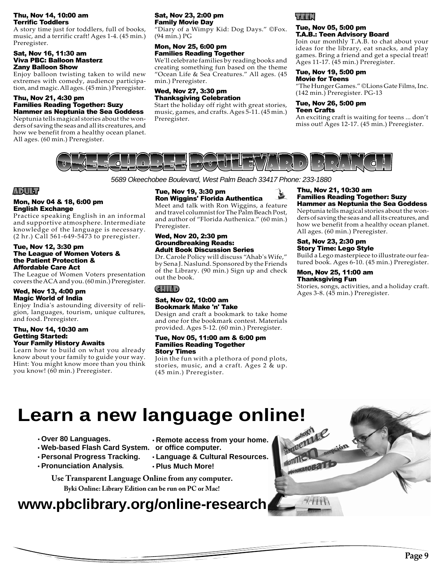#### Thu, Nov 14, 10:00 am **Terrific Toddlers**

A story time just for toddlers, full of books, music, and a terrific craft! Ages 1-4. (45 min.) Preregister.

#### Sat, Nov 16, 11:30 am Viva PBC: Balloon Masterz Zany Balloon Show

Enjoy balloon twisting taken to wild new extremes with comedy, audience participation, and magic. All ages. (45 min.) Preregister.

#### Thu, Nov 21, 4:30 pm Families Reading Together: Suzy Hammer as Neptunia the Sea Goddess

Neptunia tells magical stories about the wonders of saving the seas and all its creatures, and how we benefit from a healthy ocean planet. All ages. (60 min.) Preregister.

#### Sat, Nov 23, 2:00 pm Family Movie Day

"Diary of a Wimpy Kid: Dog Days." ©Fox. (94 min.) PG

# Mon, Nov 25, 6:00 pm Families Reading Together

We'll celebrate families by reading books and creating something fun based on the theme "Ocean Life & Sea Creatures." All ages. (45 min.) Preregister.

#### Wed, Nov 27, 3:30 pm Thanksgiving Celebration

Start the holiday off right with great stories, music, games, and crafts. Ages 5-11. (45 min.) Preregister.



#### Tue, Nov 05, 5:00 pm T.A.B.: Teen Advisory Board

Join our monthly T.A.B. to chat about your ideas for the library, eat snacks, and play games. Bring a friend and get a special treat! Ages 11-17. (45 min.) Preregister.

# Tue, Nov 19, 5:00 pm

Movie for Teens "The Hunger Games." ©Lions Gate Films, Inc. (142 min.) Preregister. PG-13

#### Tue, Nov 26, 5:00 pm Teen Crafts

An exciting craft is waiting for teens ... don't miss out! Ages 12-17. (45 min.) Preregister.



*5689 Okeechobee Boulevard, West Palm Beach 33417 Phone: 233-1880*

# ADULT

#### Mon, Nov 04 & 18, 6:00 pm English Exchange

Practice speaking English in an informal and supportive atmosphere. Intermediate knowledge of the language is necessary. (2 hr.) Call 561-649-5473 to preregister.

#### Tue, Nov 12, 3:30 pm The League of Women Voters & the Patient Protection & Affordable Care Act

The League of Women Voters presentation covers the ACA and you. (60 min.) Preregister.

#### Wed, Nov 13, 4:00 pm Magic World of India

Enjoy India's astounding diversity of religion, languages, tourism, unique cultures, and food. Preregister.

#### Thu, Nov 14, 10:30 am Getting Started: Your Family History Awaits

Learn how to build on what you already know about your family to guide your way. Hint: You might know more than you think you know! (60 min.) Preregister.

#### Tue, Nov 19, 3:30 pm Ron Wiggins' Florida Authentica

Meet and talk with Ron Wiggins, a feature and travel columnist for The Palm Beach Post, and author of "Florida Authenica." (60 min.) Preregister.

#### Wed, Nov 20, 2:30 pm Groundbreaking Reads: Adult Book Discussion Series

Dr. Carole Policy will discuss "Ahab's Wife," by Sena J. Naslund. Sponsored by the Friends of the Library. (90 min.) Sign up and check out the book.

# CHILD

#### Sat, Nov 02, 10:00 am Bookmark Make 'n' Take

Design and craft a bookmark to take home and one for the bookmark contest. Materials provided. Ages 5-12. (60 min.) Preregister.

#### Tue, Nov 05, 11:00 am & 6:00 pm Families Reading Together Story Times

Join the fun with a plethora of pond plots, stories, music, and a craft. Ages 2 & up. (45 min.) Preregister.

#### Thu, Nov 21, 10:30 am Families Reading Together: Suzy Hammer as Neptunia the Sea Goddess

Neptunia tells magical stories about the wonders of saving the seas and all its creatures, and how we benefit from a healthy ocean planet. All ages. (60 min.) Preregister.

#### Sat, Nov 23, 2:30 pm Story Time: Lego Style

Build a Lego masterpiece to illustrate our featured book. Ages 6-10. (45 min.) Preregister.

#### Mon, Nov 25, 11:00 am Thanksgiving Fun

Stories, songs, activities, and a holiday craft. Ages 3-8. (45 min.) Preregister.

# **Learn a new language online!**

- **tOver 80 Languages.**
- **tWeb-based Flash Card System. or office computer.**
- **tPersonal Progress Tracking.**
- **tPronunciation Analysis** .
- **tRemote access from your home.**
- **tLanguage & Cultural Resources. tPlus Much More!**

**Byki Online: Library Edition can be run on PC or Mac! Use Transparent Language Online from any computer.**

# **www.pbclibrary.org/online-research**

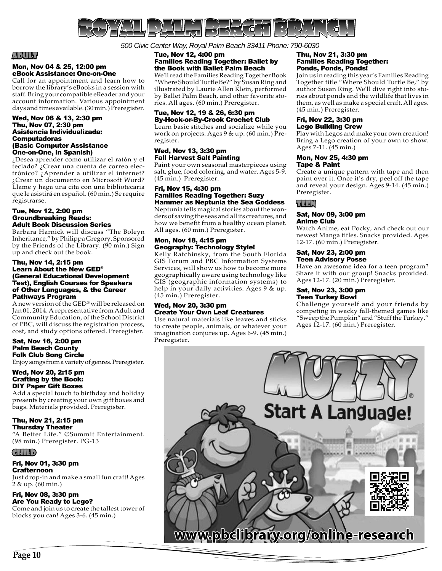

# ADULT

#### Mon, Nov 04 & 25, 12:00 pm eBook Assistance: One-on-One

Call for an appointment and learn how to borrow the library's eBooks in a session with staff. Bring your compatible eReader and your account information. Various appointment days and times available.  $(30 \text{ min.})$  Preregister.

#### Wed, Nov 06 & 13, 2:30 pm Thu, Nov 07, 2:30 pm Asistencia Individualizada: Computadoras (Basic Computer Assistance One-on-One, in Spanish)

¿Desea aprender como utilizar el ratón y el teclado? ¿Crear una cuenta de correo electrónico? ¿Aprender a utilizar el internet? ¿Crear un documento en Microsoft Word? Llame y haga una cita con una bibliotecaria que le asistirá en español. (60 min.) Se require registrarse.

#### Tue, Nov 12, 2:00 pm Groundbreaking Reads: Adult Book Discussion Series

Barbara Harnick will discuss "The Boleyn Inheritance," by Philippa Gregory. Sponsored by the Friends of the Library. (90 min.) Sign up and check out the book.

#### Thu, Nov 14, 2:15 pm Learn About the New GED® (General Educational Development Test), English Courses for Speakers of Other Languages, & the Career Pathways Program

A new version of the GED® will be released on Jan 01, 2014. A representative from Adult and Community Education, of the School District of PBC, will discuss the registration process, cost, and study options offered. Preregister.

#### Sat, Nov 16, 2:00 pm Palm Beach County Folk Club Song Circle

Enjoy songs from a variety of genres. Preregister.

#### Wed, Nov 20, 2:15 pm Crafting by the Book: DIY Paper Gift Boxes

Add a special touch to birthday and holiday presents by creating your own gift boxes and bags. Materials provided. Preregister.

#### Thu, Nov 21, 2:15 pm Thursday Theater

"A Better Life." ©Summit Entertainment. (98 min.) Preregister. PG-13

#### CHILD

#### Fri, Nov 01, 3:30 pm **Crafternoon**

Just drop-in and make a small fun craft! Ages 2 & up. (60 min.)

#### Fri, Nov 08, 3:30 pm Are You Ready to Lego?

Come and join us to create the tallest tower of blocks you can! Ages 3-6. (45 min.)

*500 Civic Center Way, Royal Palm Beach 33411 Phone: 790-6030*

#### Tue, Nov 12, 4:00 pm Families Reading Together: Ballet by the Book with Ballet Palm Beach

We'll read the Families Reading Together Book "Where Should Turtle Be?" by Susan Ring and illustrated by Laurie Allen Klein, performed by Ballet Palm Beach, and other favorite stories. All ages. (60 min.) Preregister.

### Tue, Nov 12, 19 & 26, 6:30 pm By-Hook-or-By-Crook Crochet Club

Learn basic stitches and socialize while you work on projects. Ages 9 & up. (60 min.) Preregister.

#### Wed, Nov 13, 3:30 pm Fall Harvest Salt Painting

Paint your own seasonal masterpieces using salt, glue, food coloring, and water. Ages 5-9. (45 min.) Preregister.

#### Fri, Nov 15, 4:30 pm Families Reading Together: Suzy Hammer as Neptunia the Sea Goddess

Neptunia tells magical stories about the wonders of saving the seas and all its creatures, and how we benefit from a healthy ocean planet. All ages. (60 min.) Preregister.

#### Mon, Nov 18, 4:15 pm Geography: Technology Style!

Kelly Ratchinsky, from the South Florida GIS Forum and PBC Information Systems Services, will show us how to become more geographically aware using technology like GIS (geographic information systems) to help in your daily activities. Ages 9 & up. (45 min.) Preregister.

#### Wed, Nov 20, 3:30 pm Create Your Own Leaf Creatures

Use natural materials like leaves and sticks to create people, animals, or whatever your imagination conjures up. Ages 6-9. (45 min.) Preregister.

#### Thu, Nov 21, 3:30 pm Families Reading Together: Ponds, Ponds, Ponds!

Join us in reading this year's Families Reading Together title "Where Should Turtle Be," by author Susan Ring. We'll dive right into stories about ponds and the wildlife that lives in them, as well as make a special craft. All ages. (45 min.) Preregister.

#### Fri, Nov 22, 3:30 pm Lego Building Crew

Play with Legos and make your own creation! Bring a Lego creation of your own to show. Ages 7-11. (45 min.)

#### Mon, Nov 25, 4:30 pm Tape & Paint

Create a unique pattern with tape and then paint over it. Once it's dry, peel off the tape and reveal your design. Ages 9-14. (45 min.) Preregister.

# TEEN

#### Sat, Nov 09, 3:00 pm Anime Club

Watch Anime, eat Pocky, and check out our newest Manga titles. Snacks provided. Ages 12-17. (60 min.) Preregister.

#### Sat, Nov 23, 2:00 pm Teen Advisory Posse

Have an awesome idea for a teen program? Share it with our group! Snacks provided. Ages 12-17. (20 min.) Preregister.

#### Sat, Nov 23, 3:00 pm Teen Turkey Bowl

Challenge yourself and your friends by competing in wacky fall-themed games like "Sweep the Pumpkin" and "Stuff the Turkey." Ages 12-17. (60 min.) Preregister.

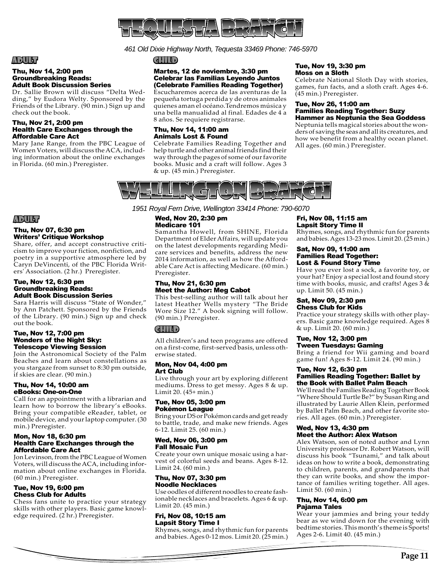

*461 Old Dixie Highway North, Tequesta 33469 Phone: 746-5970*

# ADULT

#### Thu, Nov 14, 2:00 pm Groundbreaking Reads: Adult Book Discussion Series

Dr. Sallie Brown will discuss "Delta Wedding," by Eudora Welty. Sponsored by the Friends of the Library. (90 min.) Sign up and check out the book.

#### Thu, Nov 21, 2:00 pm Health Care Exchanges through the Affordable Care Act

Mary Jane Range, from the PBC League of Women Voters, will discuss the ACA, including information about the online exchanges in Florida. (60 min.) Preregister.

#### CHILD

#### Martes, 12 de noviembre, 3:30 pm Celebrar las Familias Leyendo Juntos (Celebrate Families Reading Together)

Escucharemos acerca de las aventuras de la pequeña tortuga perdida y de otros animales quienes aman el océano.Tendremos música y una bella manualidad al final. Edades de 4 a 8 años. Se requiere registrarse.

# Thu, Nov 14, 11:00 am Animals Lost & Found

Celebrate Families Reading Together and help turtle and other animal friends find their way through the pages of some of our favorite books. Music and a craft will follow. Ages 3 & up. (45 min.) Preregister.

#### Tue, Nov 19, 3:30 pm Moss on a Sloth

Celebrate National Sloth Day with stories, games, fun facts, and a sloth craft. Ages 4-6. (45 min.) Preregister.

#### Tue, Nov 26, 11:00 am Families Reading Together: Suzy Hammer as Neptunia the Sea Goddess

Neptunia tells magical stories about the wonders of saving the seas and all its creatures, and how we benefit from a healthy ocean planet. All ages. (60 min.) Preregister.



*1951 Royal Fern Drive, Wellington 33414 Phone: 790-6070*

#### Wed, Nov 20, 2:30 pm Medicare 101

Samantha Howell, from SHINE, Florida Department of Elder Affairs, will update you on the latest developments regarding Medicare services and benefits, address the new 2014 information, as well as how the Affordable Care Act is affecting Medicare. (60 min.) Preregister.

#### Thu, Nov 21, 6:30 pm Meet the Author: Meg Cabot

This best-selling author will talk about her latest Heather Wells mystery "The Bride Wore Size 12." A book signing will follow. (90 min.) Preregister.

# CHILD

All children's and teen programs are offered on a first-come, first-served basis, unless otherwise stated.

#### Mon, Nov 04, 4:00 pm Art Club

Live through your art by exploring different mediums. Dress to get messy. Ages 8 & up. Limit 20. (45+ min.)

#### Tue, Nov 05, 3:00 pm Pokémon League

Bring your DS or Pokémon cards and get ready to battle, trade, and make new friends. Ages 6-12. Limit 25. (60 min.)

#### Wed, Nov 06, 3:00 pm Fall Mosaic Fun

Create your own unique mosaic using a harvest of colorful seeds and beans. Ages 8-12. Limit 24. (60 min.)

#### Thu, Nov 07, 3:30 pm Noodle Necklaces

Use oodles of different noodles to create fashionable necklaces and bracelets. Ages 6 & up. Limit 20. (45 min.)

#### Fri, Nov 08, 10:15 am Lapsit Story Time I

Rhymes, songs, and rhythmic fun for parents and babies. Ages 0-12 mos. Limit 20. (25 min.)

#### Fri, Nov 08, 11:15 am Lapsit Story Time II

Rhymes, songs, and rhythmic fun for parents and babies. Ages 13-23 mos. Limit 20. (25 min.)

#### Sat, Nov 09, 11:00 am Families Read Together: Lost & Found Story Time

Have you ever lost a sock, a favorite toy, or your hat? Enjoy a special lost and found story time with books, music, and crafts! Ages 3 & up. Limit 50. (45 min.)

#### Sat, Nov 09, 2:30 pm Chess Club for Kids

Practice your strategy skills with other players. Basic game knowledge required. Ages 8 & up. Limit 20. (60 min.)

# Tue, Nov 12, 3:00 pm

Tween Tuesdays: Gaming Bring a friend for Wii gaming and board game fun! Ages 8-12. Limit 24. (90 min.)

#### Tue, Nov 12, 6:30 pm Families Reading Together: Ballet by the Book with Ballet Palm Beach

We'll read the Families Reading Together Book "Where Should Turtle Be?" by Susan Ring and illustrated by Laurie Allen Klein, performed by Ballet Palm Beach, and other favorite stories. All ages. (60 min.) Preregister.

#### Wed, Nov 13, 4:30 pm Meet the Author: Alex Watson

Alex Watson, son of noted author and Lynn University professor Dr. Robert Watson, will discuss his book "Tsunami," and talk about ideas on how to write a book, demonstrating to children, parents, and grandparents that they can write books, and show the importance of families writing together. All ages. Limit 50. (60 min.)

#### Thu, Nov 14, 6:00 pm Pajama Tales

Wear your jammies and bring your teddy bear as we wind down for the evening with bedtime stories. This month's theme is Sports! Ages 2-6. Limit 40. (45 min.)

# ADULT

#### Thu, Nov 07, 6:30 pm Writers' Critique Workshop

Share, offer, and accept constructive criticism to improve your fiction, nonfiction, and poetry in a supportive atmosphere led by Caryn DeVincenti, of the PBC Florida Writers' Association. (2 hr.) Preregister.

#### Tue, Nov 12, 6:30 pm Groundbreaking Reads: Adult Book Discussion Series

Sara Harris will discuss "State of Wonder," by Ann Patchett. Sponsored by the Friends of the Library. (90 min.) Sign up and check out the book.

#### Tue, Nov 12, 7:00 pm Wonders of the Night Sky: Telescope Viewing Session

Join the Astronomical Society of the Palm Beaches and learn about constellations as you stargaze from sunset to 8:30 pm outside, if skies are clear. (90 min.)

#### Thu, Nov 14, 10:00 am eBooks: One-on-One

Call for an appointment with a librarian and learn how to borrow the library's eBooks. Bring your compatible eReader, tablet, or mobile device, and your laptop computer. (30 min.) Preregister.

#### Mon, Nov 18, 6:30 pm Health Care Exchanges through the Affordable Care Act

Jon Levinson, from the PBC League of Women Voters, will discuss the ACA, including information about online exchanges in Florida. (60 min.) Preregister.

#### Tue, Nov 19, 6:00 pm Chess Club for Adults

Chess fans unite to practice your strategy skills with other players. Basic game knowledge required. (2 hr.) Preregister.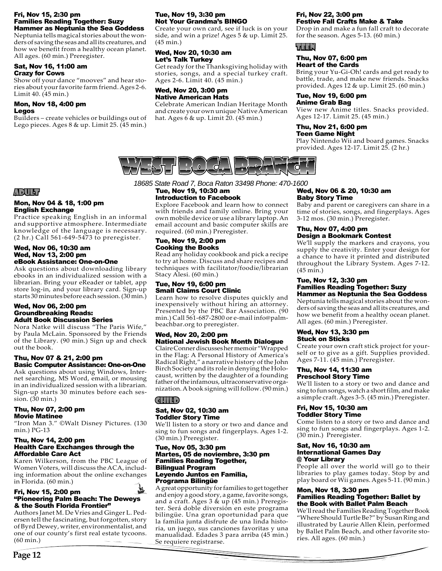#### Fri, Nov 15, 2:30 pm Families Reading Together: Suzy Hammer as Neptunia the Sea Goddess

Neptunia tells magical stories about the wonders of saving the seas and all its creatures, and how we benefit from a healthy ocean planet. All ages. (60 min.) Preregister.

#### Sat, Nov 16, 11:00 am Crazy for Cows

Show off your dance "mooves" and hear stories about your favorite farm friend. Ages 2-6. Limit 40. (45 min.)

#### Mon, Nov 18, 4:00 pm Legos

Builders – create vehicles or buildings out of Lego pieces. Ages 8 & up. Limit 25. (45 min.)

#### Tue, Nov 19, 3:30 pm Not Your Grandma's BINGO

Create your own card, see if luck is on your side, and win a prize! Ages 5 & up. Limit 25. (45 min.)

# Wed, Nov 20, 10:30 am Let's Talk Turkey

Get ready for the Thanksgiving holiday with stories, songs, and a special turkey craft. Ages 2-6. Limit 40. (45 min.)

#### Wed, Nov 20, 3:00 pm Native American Hats

Celebrate American Indian Heritage Month and create your own unique Native American hat. Ages  $6 \& up$ . Limit 20. (45 min.)

#### Fri, Nov 22, 3:00 pm Festive Fall Crafts Make & Take

Drop in and make a fun fall craft to decorate for the season. Ages 5-13. (60 min.)

# TEEN

#### Thu, Nov 07, 6:00 pm Heart of the Cards

Bring your Yu-Gi-Oh! cards and get ready to battle, trade, and make new friends. Snacks provided. Ages 12 & up. Limit 25. (60 min.)

#### Tue, Nov 19, 6:00 pm Anime Grab Bag

View new Anime titles. Snacks provided. Ages 12-17. Limit 25. (45 min.)

#### Thu, Nov 21, 6:00 pm Teen Game Night

Play Nintendo Wii and board games. Snacks provided. Ages 12-17. Limit 25. (2 hr.)



*18685 State Road 7, Boca Raton 33498 Phone: 470-1600*

#### Tue, Nov 19, 10:30 am Introduction to Facebook

Explore Facebook and learn how to connect with friends and family online. Bring your own mobile device or use a library laptop. An email account and basic computer skills are required. (60 min.) Preregister.

#### Tue, Nov 19, 2:00 pm Cooking the Books

Read any holiday cookbook and pick a recipe to try at home. Discuss and share recipes and techniques with facilitator/foodie/librarian Stacy Alesi. (60 min.)

#### Tue, Nov 19, 6:00 pm Small Claims Court Clinic

Learn how to resolve disputes quickly and inexpensively without hiring an attorney. Presented by the PBC Bar Association. (90 min.) Call 561-687-2800 or e-mail info@palmbeachbar.org to preregister.

#### Wed, Nov 20, 2:00 pm National Jewish Book Month Dialogue

Claire Conner discusses her memoir "Wrapped in the Flag: A Personal History of America's Radical Right," a narrative history of the John Birch Society and its role in denying the Holocaust, written by the daughter of a founding father of the infamous, ultraconservative organization. A book signing will follow. (90 min.)

# CHILD

#### Sat, Nov 02, 10:30 am Toddler Story Time

We'll listen to a story or two and dance and sing to fun songs and fingerplays. Ages 1-2. (30 min.) Preregister.

#### Tue, Nov 05, 3:30 pm Martes, 05 de noviembre, 3:30 pm Families Reading Together, Bilingual Program Leyendo Juntos en Familia, Programa Bilingüe

A great opportunity for families to get together and enjoy a good story, a game, favorite songs, and a craft. Ages 3 & up (45 min.) Preregister. Será doble diversión en este programa bilingüe. Una gran oportunidad para que la familia junta disfrute de una linda historia, un juego, sus canciones favoritas y una manualidad. Edades 3 para arriba (45 min.) Se requiere registrarse.

#### Wed, Nov 06 & 20, 10:30 am Baby Story Time

Baby and parent or caregivers can share in a time of stories, songs, and fingerplays. Ages 3-12 mos. (30 min.) Preregister.

#### Thu, Nov 07, 4:00 pm Design a Bookmark Contest

We'll supply the markers and crayons, you supply the creativity. Enter your design for a chance to have it printed and distributed throughout the Library System. Ages 7-12. (45 min.)

#### Tue, Nov 12, 3:30 pm Families Reading Together: Suzy Hammer as Neptunia the Sea Goddess

Neptunia tells magical stories about the wonders of saving the seas and all its creatures, and how we benefit from a healthy ocean planet. All ages. (60 min.) Preregister.

#### Wed, Nov 13, 3:30 pm Stuck on Sticks

Create your own craft stick project for yourself or to give as a gift. Supplies provided. Ages 7-11. (45 min.) Preregister.

#### Thu, Nov 14, 11:30 am Preschool Story Time

We'll listen to a story or two and dance and sing to fun songs, watch a short film, and make a simple craft. Ages 3-5. (45 min.) Preregister.

#### Fri, Nov 15, 10:30 am Toddler Story Time

Come listen to a story or two and dance and sing to fun songs and fingerplays. Ages 1-2. (30 min.) Preregister.

#### Sat, Nov 16, 10:30 am International Games Day @ Your Library

People all over the world will go to their libraries to play games today. Stop by and play board or Wii games. Ages 5-11. (90 min.)

#### Mon, Nov 18, 3:30 pm Families Reading Together: Ballet by the Book with Ballet Palm Beach

We'll read the Families Reading Together Book "Where Should Turtle Be?" by Susan Ring and illustrated by Laurie Allen Klein, performed by Ballet Palm Beach, and other favorite stories. All ages. (60 min.)

# ADULT

#### Mon, Nov 04 & 18, 1:00 pm English Exchange

Practice speaking English in an informal and supportive atmosphere. Intermediate knowledge of the language is necessary. (2 hr.) Call 561-649-5473 to preregister.

#### Wed, Nov 06, 10:30 am Wed, Nov 13, 2:00 pm eBook Assistance: One-on-One

Ask questions about downloading library ebooks in an individualized session with a librarian. Bring your eReader or tablet, app store log-in, and your library card. Sign-up starts 30 minutes before each session. (30 min.)

#### Wed, Nov 06, 2:00 pm Groundbreaking Reads: Adult Book Discussion Series

Nora Natke will discuss "The Paris Wife," by Paula McLain. Sponsored by the Friends of the Library. (90 min.) Sign up and check out the book.

#### Thu, Nov 07 & 21, 2:00 pm Basic Computer Assistance: One-on-One

Ask questions about using Windows, Internet searching, MS Word, email, or mousing in an individualized session with a librarian. Sign-up starts 30 minutes before each session. (30 min.)

#### Thu, Nov 07, 2:00 pm Movie Matinee

"Iron Man 3." ©Walt Disney Pictures. (130 min.) PG-13

#### Thu, Nov 14, 2:00 pm Health Care Exchanges through the Affordable Care Act

Karen Wilkerson, from the PBC League of Women Voters, will discuss the ACA, including information about the online exchanges in Florida. (60 min.)

#### $\tilde{\boldsymbol{x}}$ Fri, Nov 15, 2:00 pm "Pioneering Palm Beach: The Deweys & the South Florida Frontier"

Authors Janet M. De Vries and Ginger L. Pedersen tell the fascinating, but forgotten, story of Byrd Dewey, writer, environmentalist, and one of our county's first real estate tycoons. (60 min.)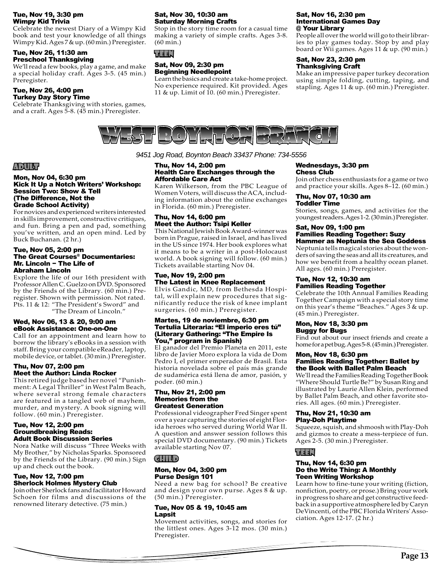#### Tue, Nov 19, 3:30 pm Wimpy Kid Trivia

Celebrate the newest Diary of a Wimpy Kid book and test your knowledge of all things Wimpy Kid. Ages 7 & up. (60 min.) Preregister.

#### Tue, Nov 26, 11:30 am Preschool Thanksgiving

We'll read a few books, play a game, and make a special holiday craft. Ages 3-5. (45 min.) Preregister.

#### Tue, Nov 26, 4:00 pm Turkey Day Story Time

Celebrate Thanksgiving with stories, games, and a craft. Ages 5-8. (45 min.) Preregister.

#### Sat, Nov 30, 10:30 am Saturday Morning Crafts

Stop in the story time room for a casual time making a variety of simple crafts. Ages 3-8. (60 min.)

## TEEN

#### Sat, Nov 09, 2:30 pm Beginning Needlepoint

Learn the basics and create a take-home project. No experience required. Kit provided. Ages 11 & up. Limit of 10. (60 min.) Preregister.

#### Sat, Nov 16, 2:30 pm International Games Day @ Your Library

People all over the world will go to their libraries to play games today. Stop by and play board or Wii games. Ages 11  $\&$  up. (90 min.)

#### Sat, Nov 23, 2:30 pm Thanksgiving Craft

Make an impressive paper turkey decoration using simple folding, cutting, taping, and stapling. Ages 11 & up. (60 min.) Preregister.



*9451 Jog Road, Boynton Beach 33437 Phone: 734-5556* 

#### Thu, Nov 14, 2:00 pm Health Care Exchanges through the Affordable Care Act

Karen Wilkerson, from the PBC League of Women Voters, will discuss the ACA, including information about the online exchanges in Florida. (60 min.) Preregister.

#### Thu, Nov 14, 6:00 pm Meet the Author: Tsipi Keller

This National Jewish Book Award-winner was born in Prague, raised in Israel, and has lived in the US since 1974. Her book explores what it means to be a writer in a post-Holocaust world. A book signing will follow. (60 min.) Tickets available starting Nov 04.

# Tue, Nov 19, 2:00 pm The Latest in Knee Replacement

Elvis Gandic, MD, from Bethesda Hospital, will explain new procedures that significantly reduce the risk of knee implant surgeries. (60 min.) Preregister.

#### Martes, 19 de noviembre, 6:30 pm Tertulia Literaria: "El imperio eres tú" (Literary Gathering: "The Empire Is You," program in Spanish)

El ganador del Premio Planeta en 2011, este libro de Javier Moro explora la vida de Dom Pedro I, el primer emperador de Brasil. Esta historia novelada sobre el país más grande de sudamérica está llena de amor, pasión, y poder. (60 min.)

#### Thu, Nov 21, 2:00 pm Memories from the Greatest Generation

Professional videographer Fred Singer spent over a year capturing the stories of eight Florida heroes who served during World War II. A question and answer session follows this special DVD documentary. (90 min.) Tickets available starting Nov 07.

# CHILD

#### Mon, Nov 04, 3:00 pm Purse Design 101

Need a new bag for school? Be creative and design your own purse. Ages 8 & up. (50 min.) Preregister.

#### Tue, Nov 05 & 19, 10:45 am Lapsit

Movement activities, songs, and stories for the littlest ones. Ages 3-12 mos. (30 min.) Preregister.

#### Wednesdays, 3:30 pm Chess Club

Join other chess enthusiasts for a game or two and practice your skills. Ages 8–12. (60 min.)

#### Thu, Nov 07, 10:30 am Toddler Time

Stories, songs, games, and activities for the youngest readers. Ages 1-2. (30 min.) Preregister.

#### Sat, Nov 09, 1:00 pm Families Reading Together: Suzy Hammer as Neptunia the Sea Goddess

Neptunia tells magical stories about the wonders of saving the seas and all its creatures, and how we benefit from a healthy ocean planet. All ages. (60 min.) Preregister.

#### Tue, Nov 12, 10:30 am Families Reading Together

Celebrate the 10th Annual Families Reading Together Campaign with a special story time on this year's theme "Beaches." Ages 3 & up. (45 min.) Preregister.

#### Mon, Nov 18, 3:30 pm Buggy for Bugs

Find out about our insect friends and create a home for a pet bug. Ages 5-8. (45 min.) Preregister.

#### Mon, Nov 18, 6:30 pm Families Reading Together: Ballet by the Book with Ballet Palm Beach

We'll read the Families Reading Together Book "Where Should Turtle Be?" by Susan Ring and illustrated by Laurie Allen Klein, performed by Ballet Palm Beach, and other favorite stories. All ages. (60 min.) Preregister.

#### Thu, Nov 21, 10:30 am Play-Doh Playtime

Squeeze, squish, and shmoosh with Play-Doh and gizmos to create a mess-terpiece of fun. Ages 2-5. (30 min.) Preregister.

# TEEN

#### Thu, Nov 14, 6:30 pm Do the Write Thing: A Monthly Teen Writing Workshop

Learn how to fine-tune your writing (fiction, nonfiction, poetry, or prose.) Bring your work in progress to share and get constructive feedback in a supportive atmosphere led by Caryn DeVincenti, of the PBC Florida Writers' Association. Ages 12-17. (2 hr.)

# ADULT

#### Mon, Nov 04, 6:30 pm Kick It Up a Notch Writers' Workshop: Session Two: Show & Tell (The Difference, Not the Grade School Activity)

For novices and experienced writers interested in skills improvement, constructive critiques, and fun. Bring a pen and pad, something you've written, and an open mind. Led by Buck Buchanan. (2 hr.)

#### Tue, Nov 05, 2:00 pm The Great Courses® Documentaries: Mr. Lincoln − The Life of Abraham Lincoln

Explore the life of our 16th president with Professor Allen C. Guelzo on DVD. Sponsored by the Friends of the Library. (60 min.) Preregister. Shown with permission. Not rated. Pts. 11 & 12: "The President's Sword" and "The Dream of Lincoln."

# Wed, Nov 06, 13 & 20, 9:00 am eBook Assistance: One-on-One

Call for an appointment and learn how to borrow the library's eBooks in a session with staff. Bring your compatible eReader, laptop, mobile device, or tablet. (30 min.) Preregister.

# Thu, Nov 07, 2:00 pm Meet the Author: Linda Rocker

This retired judge based her novel "Punishment: A Legal Thriller" in West Palm Beach, where several strong female characters are featured in a tangled web of mayhem, murder, and mystery. A book signing will follow. (60 min.) Preregister.

#### Tue, Nov 12, 2:00 pm Groundbreaking Reads: Adult Book Discussion Series

Nora Natke will discuss "Three Weeks with My Brother," by Nicholas Sparks. Sponsored by the Friends of the Library. (90 min.) Sign up and check out the book.

# Tue, Nov 12, 7:00 pm Sherlock Holmes Mystery Club

Join other Sherlock fans and facilitator Howard Schoen for films and discussions of the renowned literary detective. (75 min.)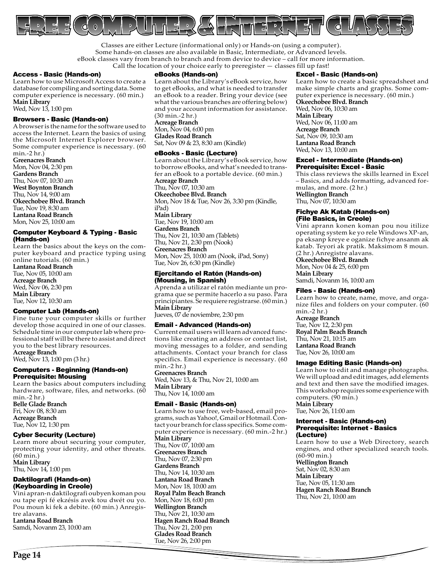

Classes are either Lecture (informational only) or Hands-on (using a computer). Some hands-on classes are also available in Basic, Intermediate, or Advanced levels. eBook classes vary from branch to branch and from device to device – call for more information. Call the location of your choice early to preregister — classes fill up fast!

#### Access - Basic (Hands-on)

Learn how to use Microsoft Access to create a database for compiling and sorting data. Some computer experience is necessary. (60 min.) **Main Library** 

Wed, Nov 13, 1:00 pm

#### Browsers - Basic (Hands-on)

A browser is the name for the software used to access the Internet. Learn the basics of using the Microsoft Internet Explorer browser. Some computer experience is necessary. (60 min.-2 hr.)

**Greenacres Branch** Mon, Nov 04, 2:30 pm **Gardens Branch** Thu, Nov 07, 10:30 am **West Boynton Branch** Thu, Nov 14, 9:00 am **Okeechobee Blvd. Branch** Tue, Nov 19, 8:30 am **Lantana Road Branch** Mon, Nov 25, 10:00 am

#### Computer Keyboard & Typing - Basic (Hands-on)

Learn the basics about the keys on the computer keyboard and practice typing using online tutorials. (60 min.)

**Lantana Road Branch** Tue, Nov 05, 10:00 am **Acreage Branch** Wed, Nov 06, 2:30 pm **Main Library**  Tue, Nov 12, 10:30 am

#### Computer Lab (Hands-on)

Fine tune your computer skills or further develop those acquired in one of our classes. Schedule time in our computer lab where professional staff will be there to assist and direct you to the best library resources. **Acreage Branch**

Wed, Nov 13, 1:00 pm (3 hr.)

#### Computers - Beginning (Hands-on) Prerequisite: Mousing

Learn the basics about computers including hardware, software, files, and networks. (60 min.-2 hr.) **Belle Glade Branch** Fri, Nov 08, 8:30 am **Acreage Branch**

# Tue, Nov 12, 1:30 pm

Cyber Security (Lecture) Learn more about securing your computer, protecting your identity, and other threats. (60 min.) **Main Library** 

Thu, Nov 14, 1:00 pm

#### Daktilografi (Hands-on) (Keyboarding in Creole)

Vini apran-n daktilografi oubyen koman pou ou tape epi fé ekzésis avek tou dwét ou yo. Pou moun ki fek a debite. (60 min.) Anregistre alavans.

**Lantana Road Branch** Samdi, Novanm 23, 10:00 am

#### eBooks (Hands-on)

Learn about the Library's eBook service, how to get eBooks, and what is needed to transfer an eBook to a reader. Bring your device (see what the various branches are offering below) and your account information for assistance. (30 min.-2 hr.) **Acreage Branch** Mon, Nov 04, 6:00 pm

**Glades Road Branch** Sat, Nov 09 & 23, 8:30 am (Kindle)

#### eBooks - Basic (Lecture)

Learn about the Library's eBook service, how to borrow eBooks, and what's needed to transfer an eBook to a portable device. (60 min.) **Acreage Branch** Thu, Nov 07, 10:30 am **Okeechobee Blvd. Branch**

Mon, Nov 18 & Tue, Nov 26, 3:30 pm (Kindle, iPad) **Main Library**  Tue, Nov 19, 10:00 am **Gardens Branch** Thu, Nov 21, 10:30 am (Tablets) Thu, Nov 21, 2:30 pm (Nook) **Greenacres Branch**

Mon, Nov 25, 10:00 am (Nook, iPad, Sony) Tue, Nov 26, 6:30 pm (Kindle)

#### Ejercitando el Ratón (Hands-on) (Mousing, in Spanish)

Aprenda a utilizar el ratón mediante un programa que se permite hacerlo a su paso. Para principiantes. Se requiere registrarse. (60 min.) **Main Library** 

Jueves, 07 de noviembre, 2:30 pm

#### Email - Advanced (Hands-on)

Current email users will learn advanced functions like creating an address or contact list, moving messages to a folder, and sending attachments. Contact your branch for class specifics. Email experience is necessary. (60 min.-2 hr.)

**Greenacres Branch** Wed, Nov 13, & Thu, Nov 21, 10:00 am **Main Library**  Thu, Nov 14, 10:00 am

### Email - Basic (Hands-on)

Learn how to use free, web-based, email programs, such as Yahoo!, Gmail or Hotmail. Contact your branch for class specifics. Some computer experience is necessary. (60 min.-2 hr.) **Main Library**  Thu, Nov 07, 10:00 am **Greenacres Branch** Thu, Nov 07, 2:30 pm **Gardens Branch** Thu, Nov 14, 10:30 am **Lantana Road Branch** Mon, Nov 18, 10:00 am **Royal Palm Beach Branch** Mon, Nov 18, 6:00 pm **Wellington Branch** Thu, Nov 21, 10:30 am **Hagen Ranch Road Branch** Thu, Nov 21, 2:00 pm **Glades Road Branch** Tue, Nov 26, 2:00 pm

#### Excel - Basic (Hands-on)

Learn how to create a basic spreadsheet and make simple charts and graphs. Some computer experience is necessary. (60 min.) **Okeechobee Blvd. Branch** Wed, Nov 06, 10:30 am **Main Library**  Wed, Nov 06, 11:00 am **Acreage Branch** Sat, Nov 09, 10:30 am **Lantana Road Branch** Wed, Nov 13, 10:00 am

#### Excel - Intermediate (Hands-on) Prerequisite: Excel - Basic

This class reviews the skills learned in Excel – Basics, and adds formatting, advanced formulas, and more. (2 hr.) **Wellington Branch** Thu, Nov 07, 10:30 am

#### Fichye Ak Katab (Hands-on) (File Basics, in Creole)

Vini aprann konen koman pou nou itilize operating system ke yo rele Windows XP-an, pa eksanp kreye e oganize fichye ansanm ak katab. Teyori ak pratik. Maksimom 8 moun. (2 hr.) Anregistre alavans.

**Okeechobee Blvd. Branch**

Mon, Nov 04 & 25, 6:00 pm **Main Library** 

Samdi, Novanm 16, 10:00 am

#### Files - Basic (Hands-on)

Learn how to create, name, move, and organize files and folders on your computer. (60 min.-2 hr.)

**Acreage Branch** Tue, Nov 12, 2:30 pm **Royal Palm Beach Branch** Thu, Nov 21, 10:15 am **Lantana Road Branch** Tue, Nov 26, 10:00 am

#### Image Editing Basic (Hands-on)

Learn how to edit and manage photographs. We will upload and edit images, add elements and text and then save the modified images. This workshop requires some experience with computers. (90 min.) **Main Library** 

Tue, Nov 26, 11:00 am

#### Internet - Basic (Hands-on) Prerequisite: Internet - Basics (Lecture)

Learn how to use a Web Directory, search engines, and other specialized search tools. (60-90 min.) **Wellington Branch** Sat, Nov 02, 8:30 am

**Main Library**  Tue, Nov 05, 11:30 am **Hagen Ranch Road Branch** Thu, Nov 21, 10:00 am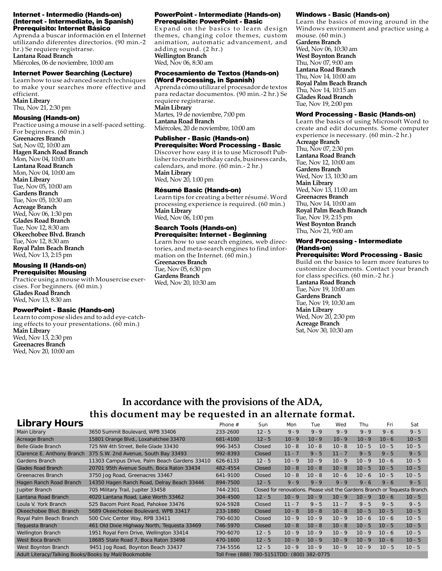#### Internet - Intermedio (Hands-on) (Internet - Intermediate, in Spanish) Prerequisito: Internet Básico

Aprenda a buscar información en el Internet utilizando diferentes directorios. (90 min.-2 hr.) Se requiere registrarse.

**Lantana Road Branch** Miércoles, 06 de noviembre, 10:00 am

#### Internet Power Searching (Lecture)

Learn how to use advanced search techniques to make your searches more effective and efficient. **Main Library**  Thu, Nov 21, 2:30 pm

#### Mousing (Hands-on)

Practice using a mouse in a self-paced setting. For beginners. (60 min.) **Greenacres Branch** Sat, Nov 02, 10:00 am **Hagen Ranch Road Branch** Mon, Nov 04, 10:00 am **Lantana Road Branch** Mon, Nov 04, 10:00 am **Main Library**  Tue, Nov 05, 10:00 am **Gardens Branch** Tue, Nov 05, 10:30 am **Acreage Branch** Wed, Nov 06, 1:30 pm **Glades Road Branch** Tue, Nov 12, 8:30 am **Okeechobee Blvd. Branch** Tue, Nov 12, 8:30 am **Royal Palm Beach Branch** Wed, Nov 13, 2:15 pm

#### Mousing II (Hands-on) Prerequisite: Mousing

Practice using a mouse with Mousercise exercises. For beginners. (60 min.) **Glades Road Branch** Wed, Nov 13, 8:30 am

#### PowerPoint - Basic (Hands-on)

Learn to compose slides and to add eye-catching effects to your presentations. (60 min.) **Main Library**  Wed, Nov 13, 2:30 pm **Greenacres Branch** Wed, Nov 20, 10:00 am

#### PowerPoint - Intermediate (Hands-on) Prerequisite: PowerPoint - Basic

Expand on the basics to learn design themes, changing color themes, custom animation, automatic advancement, and adding sound. (2 hr.) **Wellington Branch** Wed, Nov 06, 8:30 am

#### Procesamiento de Textos (Hands-on) (Word Processing, in Spanish)

Aprenda cómo utilizar el procesador de textos para redactar documentos. (90 min.-2 hr.) Se requiere registrarse. **Main Library**  Martes, 19 de noviembre, 7:00 pm **Lantana Road Branch** Miércoles, 20 de noviembre, 10:00 am

# Publisher - Basic (Hands-on)

Prerequisite: Word Processing - Basic Discover how easy it is to use Microsoft Publisher to create birthday cards, business cards, calendars, and more. (60 min.- 2 hr.) **Main Library**  Wed, Nov 20, 1:00 pm

#### Résumé Basic (Hands-on)

Learn tips for creating a better résumé. Word processing experience is required. (60 min.) **Main Library**  Wed, Nov 06, 1:00 pm

#### Search Tools (Hands-on) Prerequisite: Internet - Beginning

Learn how to use search engines, web directories, and meta-search engines to find information on the Internet. (60 min.)

**Greenacres Branch** Tue, Nov 05, 6:30 pm **Gardens Branch** Wed, Nov 20, 10:30 am

#### Windows - Basic (Hands-on)

Learn the basics of moving around in the Windows environment and practice using a mouse. (60 min.) **Gardens Branch** Wed, Nov 06, 10:30 am **West Boynton Branch** Thu, Nov 07, 9:00 am **Lantana Road Branch** Thu, Nov 14, 10:00 am **Royal Palm Beach Branch** Thu, Nov 14, 10:15 am **Glades Road Branch** Tue, Nov 19, 2:00 pm

#### Word Processing - Basic (Hands-on)

Learn the basics of using Microsoft Word to create and edit documents. Some computer experience is necessary. (60 min.-2 hr.) **Acreage Branch** Thu, Nov 07, 2:30 pm **Lantana Road Branch** Tue, Nov 12, 10:00 am **Gardens Branch** Wed, Nov 13, 10:30 am **Main Library**  Wed, Nov 13, 11:00 am **Greenacres Branch** Thu, Nov 14, 10:00 am **Royal Palm Beach Branch** Tue, Nov 19, 2:15 pm **West Boynton Branch** Thu, Nov 21, 9:00 am

#### Word Processing - Intermediate (Hands-on)

Prerequisite: Word Processing - Basic Build on the basics to learn more features to customize documents. Contact your branch for class specifics. (60 min.-2 hr.) **Lantana Road Branch** Tue, Nov 19, 10:00 am **Gardens Branch** Tue, Nov 19, 10:30 am **Main Library**  Wed, Nov 20, 2:30 pm **Acreage Branch** Sat, Nov 30, 10:30 am

# **In accordance with the provisions of the ADA, this document may be requested in an alternate format.**

| <b>Library Hours</b>                                  |                                              | Phone $#$                                      | Sun      | Mon      | Tue      | Wed      | Thu      | Fri      | Sat                                                                         |
|-------------------------------------------------------|----------------------------------------------|------------------------------------------------|----------|----------|----------|----------|----------|----------|-----------------------------------------------------------------------------|
| Main Library                                          | 3650 Summit Boulevard, WPB 33406             | 233-2600                                       | $12 - 5$ | $9 - 9$  | $9 - 9$  | $9 - 9$  | $9 - 9$  | $9 - 6$  | $9 - 5$                                                                     |
| Acreage Branch                                        | 15801 Orange Blvd., Loxahatchee 33470        | 681-4100                                       | $12 - 5$ | $10 - 9$ | $10 - 9$ | $10 - 9$ | $10 - 9$ | $10 - 6$ | $10 - 5$                                                                    |
| <b>Belle Glade Branch</b>                             | 725 NW 4th Street, Belle Glade 33430         | 996-3453                                       | Closed   | $10 - 8$ | $10 - 8$ | $10 - 8$ | $10 - 5$ | $10 - 5$ | $10 - 5$                                                                    |
| Clarence E. Anthony Branch                            | 375 S.W. 2nd Avenue, South Bay 33493         | 992-8393                                       | Closed   | $11 - 7$ | $9 - 5$  | $11 - 7$ | $9 - 5$  | $9 - 5$  | $9 - 5$                                                                     |
| Gardens Branch                                        | 11303 Campus Drive, Palm Beach Gardens 33410 | 626-6133                                       | $12 - 5$ | $10 - 9$ | $10 - 9$ | $10 - 9$ | $10 - 9$ | $10 - 6$ | $10 - 5$                                                                    |
| <b>Glades Road Branch</b>                             | 20701 95th Avenue South, Boca Raton 33434    | 482-4554                                       | Closed   | $10 - 8$ | $10 - 8$ | $10 - 8$ | $10 - 5$ | $10 - 5$ | $10 - 5$                                                                    |
| <b>Greenacres Branch</b>                              | 3750 Jog Road, Greenacres 33467              | 641-9100                                       | Closed   | $10 - 8$ | $10 - 8$ | $10 - 6$ | $10 - 6$ | $10 - 5$ | $10 - 5$                                                                    |
| Hagen Ranch Road Branch                               | 14350 Hagen Ranch Road, Delray Beach 33446   | 894-7500                                       | $12 - 5$ | $9 - 9$  | $9 - 9$  | $9 - 9$  | $9 - 6$  | $9 - 6$  | $9 - 5$                                                                     |
| Jupiter Branch                                        | 705 Military Trail, Jupiter 33458            | 744-2301                                       |          |          |          |          |          |          | Closed for renovations. Please visit the Gardens Branch or Tequesta Branch. |
| Lantana Road Branch                                   | 4020 Lantana Road, Lake Worth 33462          | 304-4500                                       | $12 - 5$ | $10 - 9$ | $10 - 9$ | $10 - 9$ | $10 - 9$ | $10 - 6$ | $10 - 5$                                                                    |
| Loula V. York Branch                                  | 525 Bacom Point Road, Pahokee 33476          | 924-5928                                       | Closed   | $11 - 7$ | $9 - 5$  | $11 - 7$ | $9 - 5$  | $9 - 5$  | $9 - 5$                                                                     |
| Okeechobee Blvd. Branch                               | 5689 Okeechobee Boulevard, WPB 33417         | 233-1880                                       | Closed   | $10 - 8$ | $10 - 8$ | $10 - 8$ | $10 - 5$ | $10 - 5$ | $10 - 5$                                                                    |
| Royal Palm Beach Branch                               | 500 Civic Center Way, RPB 33411              | 790-6030                                       | Closed   | $10 - 9$ | $10 - 9$ | $10 - 9$ | $10 - 6$ | $10 - 6$ | $10 - 5$                                                                    |
| <b>Tequesta Branch</b>                                | 461 Old Dixie Highway North, Tequesta 33469  | 746-5970                                       | Closed   | $10 - 8$ | $10 - 8$ | $10 - 8$ | $10 - 5$ | $10 - 5$ | $10 - 5$                                                                    |
| Wellington Branch                                     | 1951 Royal Fern Drive, Wellington 33414      | 790-6070                                       | $12 - 5$ | $10 - 9$ | $10 - 9$ | $10 - 9$ | $10 - 9$ | $10 - 6$ | $10 - 5$                                                                    |
| West Boca Branch                                      | 18685 State Road 7, Boca Raton 33498         | 470-1600                                       | $12 - 5$ | $10 - 9$ | $10 - 9$ | $10 - 9$ | $10 - 9$ | $10 - 6$ | $10 - 5$                                                                    |
| West Boynton Branch                                   | 9451 Jog Road, Boynton Beach 33437           | 734-5556                                       | $12 - 5$ | $10 - 9$ | $10 - 9$ | $10 - 9$ | $10 - 9$ | $10 - 5$ | $10 - 5$                                                                    |
| Adult Literacy/Talking Books/Books by Mail/Bookmobile |                                              | Toll Free (888) 780-5151TDD:<br>(800) 382-0775 |          |          |          |          |          |          |                                                                             |
|                                                       |                                              |                                                |          |          |          |          |          |          |                                                                             |